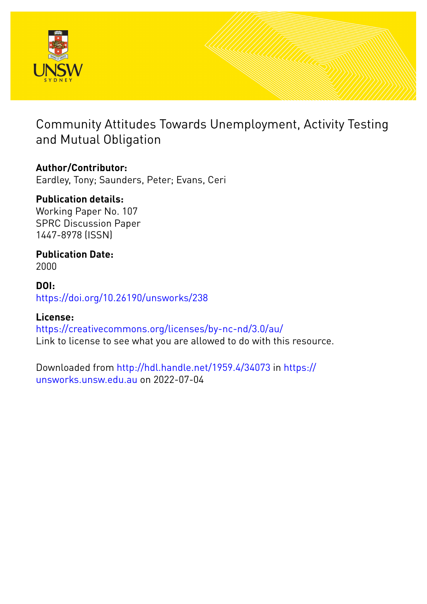

# Community Attitudes Towards Unemployment, Activity Testing and Mutual Obligation

### **Author/Contributor:**

Eardley, Tony; Saunders, Peter; Evans, Ceri

### **Publication details:**

Working Paper No. 107 SPRC Discussion Paper 1447-8978 (ISSN)

# **Publication Date:**

2000

### **DOI:** [https://doi.org/10.26190/unsworks/238](http://dx.doi.org/https://doi.org/10.26190/unsworks/238)

### **License:**

<https://creativecommons.org/licenses/by-nc-nd/3.0/au/> Link to license to see what you are allowed to do with this resource.

Downloaded from <http://hdl.handle.net/1959.4/34073> in [https://](https://unsworks.unsw.edu.au) [unsworks.unsw.edu.au](https://unsworks.unsw.edu.au) on 2022-07-04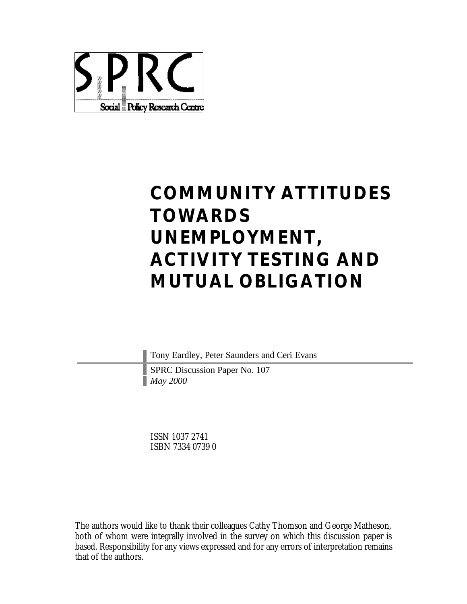

# **COMMUNITY ATTITUDES TOWARDS UNEMPLOYMENT, ACTIVITY TESTING AND MUTUAL OBLIGATION**

Tony Eardley, Peter Saunders and Ceri Evans

SPRC Discussion Paper No. 107 *May 2000*

ISSN 1037 2741 ISBN 7334 0739 0

The authors would like to thank their colleagues Cathy Thomson and George Matheson, both of whom were integrally involved in the survey on which this discussion paper is based. Responsibility for any views expressed and for any errors of interpretation remains that of the authors.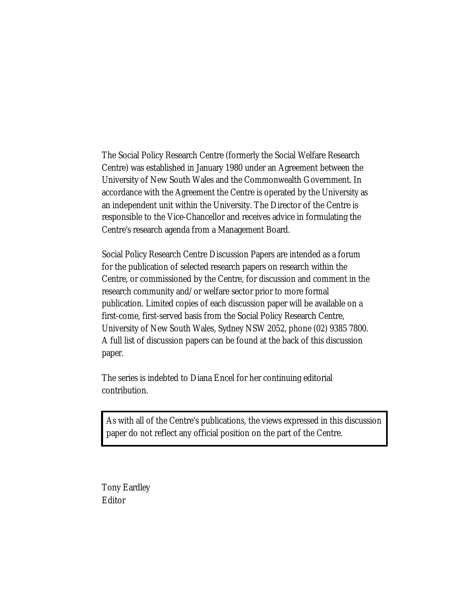The Social Policy Research Centre (formerly the Social Welfare Research Centre) was established in January 1980 under an Agreement between the University of New South Wales and the Commonwealth Government. In accordance with the Agreement the Centre is operated by the University as an independent unit within the University. The Director of the Centre is responsible to the Vice-Chancellor and receives advice in formulating the Centre's research agenda from a Management Board.

Social Policy Research Centre Discussion Papers are intended as a forum for the publication of selected research papers on research within the Centre, or commissioned by the Centre, for discussion and comment in the research community and/or welfare sector prior to more formal publication. Limited copies of each discussion paper will be available on a first-come, first-served basis from the Social Policy Research Centre, University of New South Wales, Sydney NSW 2052, phone (02) 9385 7800. A full list of discussion papers can be found at the back of this discussion paper.

The series is indebted to Diana Encel for her continuing editorial contribution.

As with all of the Centre's publications, the views expressed in this discussion paper do not reflect any official position on the part of the Centre.

Tony Eardley Editor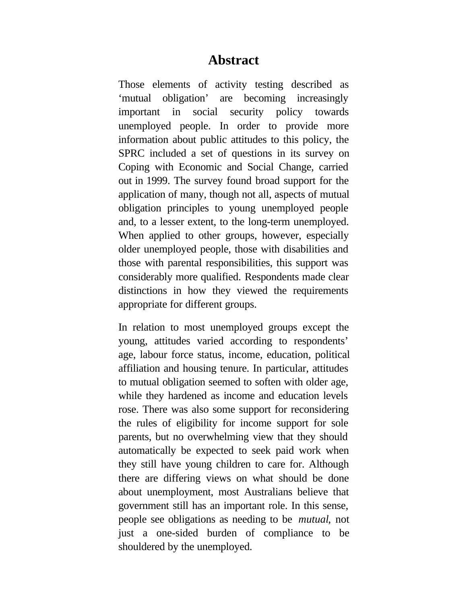### **Abstract**

Those elements of activity testing described as 'mutual obligation' are becoming increasingly important in social security policy towards unemployed people. In order to provide more information about public attitudes to this policy, the SPRC included a set of questions in its survey on Coping with Economic and Social Change, carried out in 1999. The survey found broad support for the application of many, though not all, aspects of mutual obligation principles to young unemployed people and, to a lesser extent, to the long-term unemployed. When applied to other groups, however, especially older unemployed people, those with disabilities and those with parental responsibilities, this support was considerably more qualified. Respondents made clear distinctions in how they viewed the requirements appropriate for different groups.

In relation to most unemployed groups except the young, attitudes varied according to respondents' age, labour force status, income, education, political affiliation and housing tenure. In particular, attitudes to mutual obligation seemed to soften with older age, while they hardened as income and education levels rose. There was also some support for reconsidering the rules of eligibility for income support for sole parents, but no overwhelming view that they should automatically be expected to seek paid work when they still have young children to care for. Although there are differing views on what should be done about unemployment, most Australians believe that government still has an important role. In this sense, people see obligations as needing to be *mutual*, not just a one-sided burden of compliance to be shouldered by the unemployed.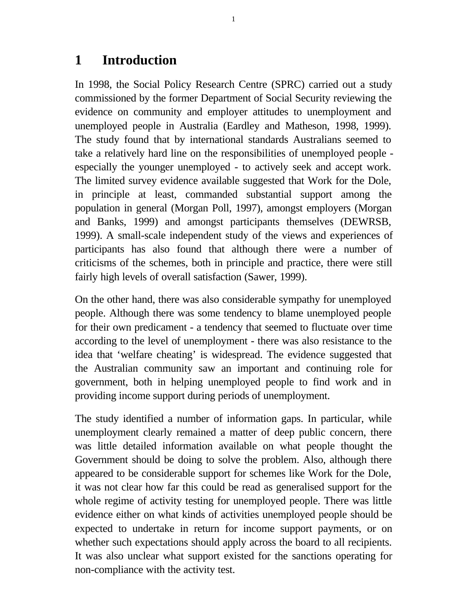## **1 Introduction**

In 1998, the Social Policy Research Centre (SPRC) carried out a study commissioned by the former Department of Social Security reviewing the evidence on community and employer attitudes to unemployment and unemployed people in Australia (Eardley and Matheson, 1998, 1999). The study found that by international standards Australians seemed to take a relatively hard line on the responsibilities of unemployed people especially the younger unemployed - to actively seek and accept work. The limited survey evidence available suggested that Work for the Dole, in principle at least, commanded substantial support among the population in general (Morgan Poll, 1997), amongst employers (Morgan and Banks, 1999) and amongst participants themselves (DEWRSB, 1999). A small-scale independent study of the views and experiences of participants has also found that although there were a number of criticisms of the schemes, both in principle and practice, there were still fairly high levels of overall satisfaction (Sawer, 1999).

On the other hand, there was also considerable sympathy for unemployed people. Although there was some tendency to blame unemployed people for their own predicament - a tendency that seemed to fluctuate over time according to the level of unemployment - there was also resistance to the idea that 'welfare cheating' is widespread. The evidence suggested that the Australian community saw an important and continuing role for government, both in helping unemployed people to find work and in providing income support during periods of unemployment.

The study identified a number of information gaps. In particular, while unemployment clearly remained a matter of deep public concern, there was little detailed information available on what people thought the Government should be doing to solve the problem. Also, although there appeared to be considerable support for schemes like Work for the Dole, it was not clear how far this could be read as generalised support for the whole regime of activity testing for unemployed people. There was little evidence either on what kinds of activities unemployed people should be expected to undertake in return for income support payments, or on whether such expectations should apply across the board to all recipients. It was also unclear what support existed for the sanctions operating for non-compliance with the activity test.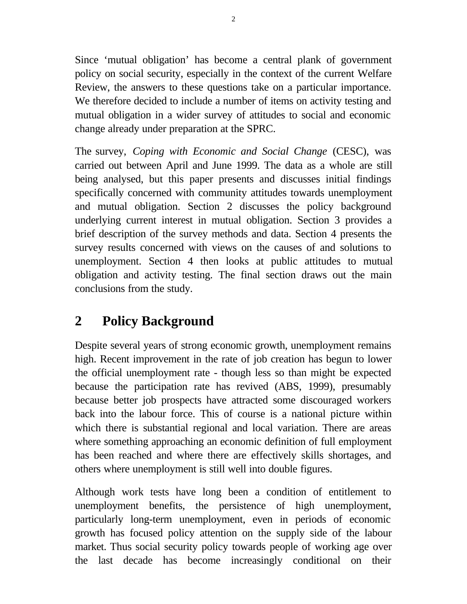Since 'mutual obligation' has become a central plank of government policy on social security, especially in the context of the current Welfare Review, the answers to these questions take on a particular importance. We therefore decided to include a number of items on activity testing and mutual obligation in a wider survey of attitudes to social and economic change already under preparation at the SPRC.

The survey, *Coping with Economic and Social Change* (CESC), was carried out between April and June 1999. The data as a whole are still being analysed, but this paper presents and discusses initial findings specifically concerned with community attitudes towards unemployment and mutual obligation. Section 2 discusses the policy background underlying current interest in mutual obligation. Section 3 provides a brief description of the survey methods and data. Section 4 presents the survey results concerned with views on the causes of and solutions to unemployment. Section 4 then looks at public attitudes to mutual obligation and activity testing. The final section draws out the main conclusions from the study.

# **2 Policy Background**

Despite several years of strong economic growth, unemployment remains high. Recent improvement in the rate of job creation has begun to lower the official unemployment rate - though less so than might be expected because the participation rate has revived (ABS, 1999), presumably because better job prospects have attracted some discouraged workers back into the labour force. This of course is a national picture within which there is substantial regional and local variation. There are areas where something approaching an economic definition of full employment has been reached and where there are effectively skills shortages, and others where unemployment is still well into double figures.

Although work tests have long been a condition of entitlement to unemployment benefits, the persistence of high unemployment, particularly long-term unemployment, even in periods of economic growth has focused policy attention on the supply side of the labour market. Thus social security policy towards people of working age over the last decade has become increasingly conditional on their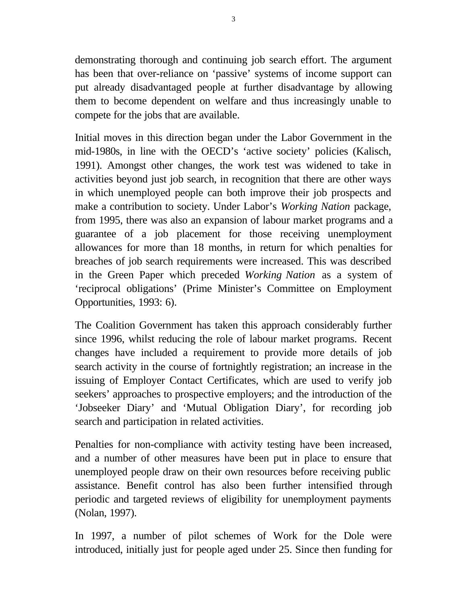demonstrating thorough and continuing job search effort. The argument has been that over-reliance on 'passive' systems of income support can put already disadvantaged people at further disadvantage by allowing them to become dependent on welfare and thus increasingly unable to compete for the jobs that are available.

Initial moves in this direction began under the Labor Government in the mid-1980s, in line with the OECD's 'active society' policies (Kalisch, 1991). Amongst other changes, the work test was widened to take in activities beyond just job search, in recognition that there are other ways in which unemployed people can both improve their job prospects and make a contribution to society. Under Labor's *Working Nation* package, from 1995, there was also an expansion of labour market programs and a guarantee of a job placement for those receiving unemployment allowances for more than 18 months, in return for which penalties for breaches of job search requirements were increased. This was described in the Green Paper which preceded *Working Nation* as a system of 'reciprocal obligations' (Prime Minister's Committee on Employment Opportunities, 1993: 6).

The Coalition Government has taken this approach considerably further since 1996, whilst reducing the role of labour market programs. Recent changes have included a requirement to provide more details of job search activity in the course of fortnightly registration; an increase in the issuing of Employer Contact Certificates, which are used to verify job seekers' approaches to prospective employers; and the introduction of the 'Jobseeker Diary' and 'Mutual Obligation Diary', for recording job search and participation in related activities.

Penalties for non-compliance with activity testing have been increased, and a number of other measures have been put in place to ensure that unemployed people draw on their own resources before receiving public assistance. Benefit control has also been further intensified through periodic and targeted reviews of eligibility for unemployment payments (Nolan, 1997).

In 1997, a number of pilot schemes of Work for the Dole were introduced, initially just for people aged under 25. Since then funding for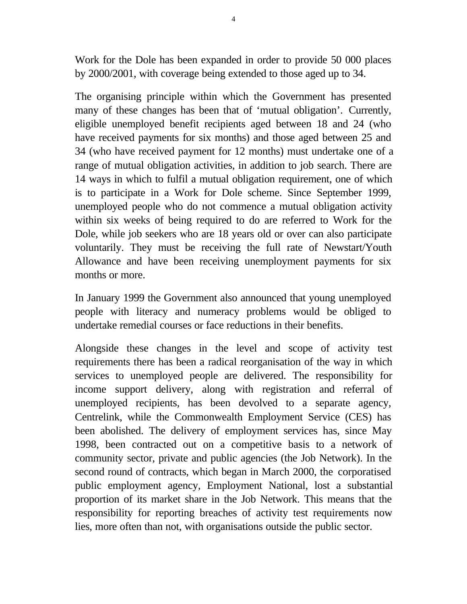Work for the Dole has been expanded in order to provide 50 000 places by 2000/2001, with coverage being extended to those aged up to 34.

The organising principle within which the Government has presented many of these changes has been that of 'mutual obligation'. Currently, eligible unemployed benefit recipients aged between 18 and 24 (who have received payments for six months) and those aged between 25 and 34 (who have received payment for 12 months) must undertake one of a range of mutual obligation activities, in addition to job search. There are 14 ways in which to fulfil a mutual obligation requirement, one of which is to participate in a Work for Dole scheme. Since September 1999, unemployed people who do not commence a mutual obligation activity within six weeks of being required to do are referred to Work for the Dole, while job seekers who are 18 years old or over can also participate voluntarily. They must be receiving the full rate of Newstart/Youth Allowance and have been receiving unemployment payments for six months or more.

In January 1999 the Government also announced that young unemployed people with literacy and numeracy problems would be obliged to undertake remedial courses or face reductions in their benefits.

Alongside these changes in the level and scope of activity test requirements there has been a radical reorganisation of the way in which services to unemployed people are delivered. The responsibility for income support delivery, along with registration and referral of unemployed recipients, has been devolved to a separate agency, Centrelink, while the Commonwealth Employment Service (CES) has been abolished. The delivery of employment services has, since May 1998, been contracted out on a competitive basis to a network of community sector, private and public agencies (the Job Network). In the second round of contracts, which began in March 2000, the corporatised public employment agency, Employment National, lost a substantial proportion of its market share in the Job Network. This means that the responsibility for reporting breaches of activity test requirements now lies, more often than not, with organisations outside the public sector.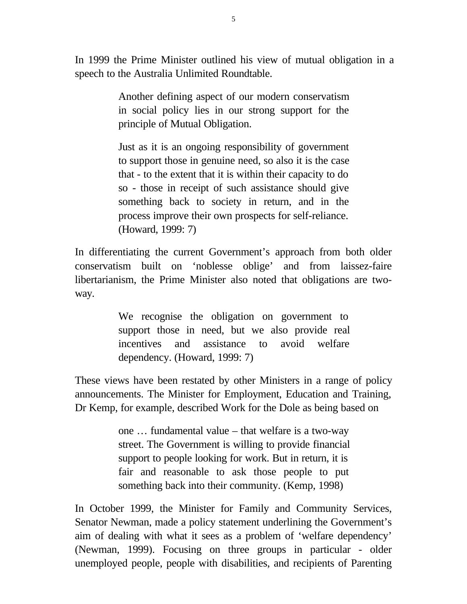In 1999 the Prime Minister outlined his view of mutual obligation in a speech to the Australia Unlimited Roundtable.

> Another defining aspect of our modern conservatism in social policy lies in our strong support for the principle of Mutual Obligation.

> Just as it is an ongoing responsibility of government to support those in genuine need, so also it is the case that - to the extent that it is within their capacity to do so - those in receipt of such assistance should give something back to society in return, and in the process improve their own prospects for self-reliance. (Howard, 1999: 7)

In differentiating the current Government's approach from both older conservatism built on 'noblesse oblige' and from laissez-faire libertarianism, the Prime Minister also noted that obligations are twoway.

> We recognise the obligation on government to support those in need, but we also provide real incentives and assistance to avoid welfare dependency. (Howard, 1999: 7)

These views have been restated by other Ministers in a range of policy announcements. The Minister for Employment, Education and Training, Dr Kemp, for example, described Work for the Dole as being based on

> one … fundamental value – that welfare is a two-way street. The Government is willing to provide financial support to people looking for work. But in return, it is fair and reasonable to ask those people to put something back into their community. (Kemp, 1998)

In October 1999, the Minister for Family and Community Services, Senator Newman, made a policy statement underlining the Government's aim of dealing with what it sees as a problem of 'welfare dependency' (Newman, 1999). Focusing on three groups in particular - older unemployed people, people with disabilities, and recipients of Parenting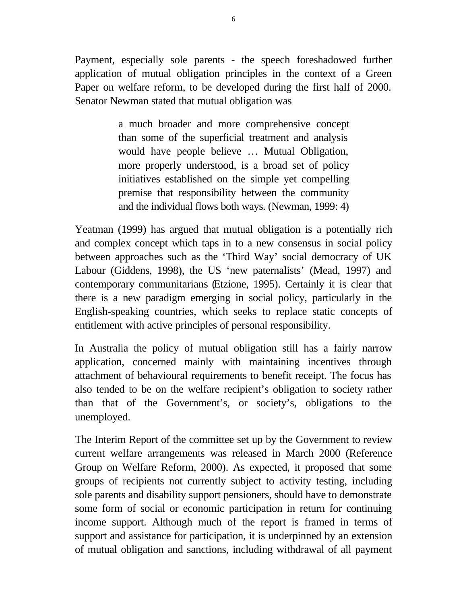Payment, especially sole parents - the speech foreshadowed further application of mutual obligation principles in the context of a Green Paper on welfare reform, to be developed during the first half of 2000. Senator Newman stated that mutual obligation was

> a much broader and more comprehensive concept than some of the superficial treatment and analysis would have people believe … Mutual Obligation, more properly understood, is a broad set of policy initiatives established on the simple yet compelling premise that responsibility between the community and the individual flows both ways. (Newman, 1999: 4)

Yeatman (1999) has argued that mutual obligation is a potentially rich and complex concept which taps in to a new consensus in social policy between approaches such as the 'Third Way' social democracy of UK Labour (Giddens, 1998), the US 'new paternalists' (Mead, 1997) and contemporary communitarians (Etzione, 1995). Certainly it is clear that there is a new paradigm emerging in social policy, particularly in the English-speaking countries, which seeks to replace static concepts of entitlement with active principles of personal responsibility.

In Australia the policy of mutual obligation still has a fairly narrow application, concerned mainly with maintaining incentives through attachment of behavioural requirements to benefit receipt. The focus has also tended to be on the welfare recipient's obligation to society rather than that of the Government's, or society's, obligations to the unemployed.

The Interim Report of the committee set up by the Government to review current welfare arrangements was released in March 2000 (Reference Group on Welfare Reform, 2000). As expected, it proposed that some groups of recipients not currently subject to activity testing, including sole parents and disability support pensioners, should have to demonstrate some form of social or economic participation in return for continuing income support. Although much of the report is framed in terms of support and assistance for participation, it is underpinned by an extension of mutual obligation and sanctions, including withdrawal of all payment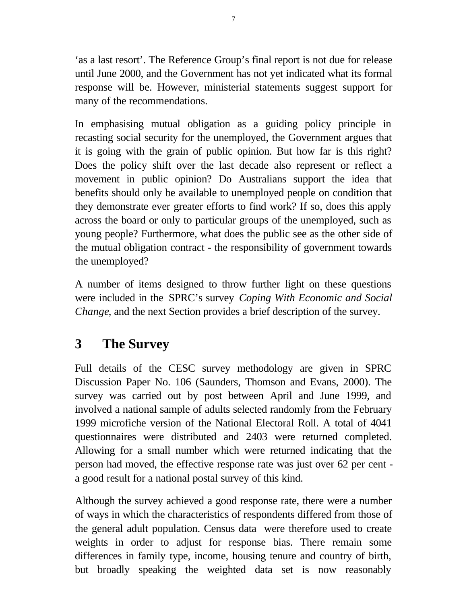'as a last resort'. The Reference Group's final report is not due for release until June 2000, and the Government has not yet indicated what its formal response will be. However, ministerial statements suggest support for many of the recommendations.

In emphasising mutual obligation as a guiding policy principle in recasting social security for the unemployed, the Government argues that it is going with the grain of public opinion. But how far is this right? Does the policy shift over the last decade also represent or reflect a movement in public opinion? Do Australians support the idea that benefits should only be available to unemployed people on condition that they demonstrate ever greater efforts to find work? If so, does this apply across the board or only to particular groups of the unemployed, such as young people? Furthermore, what does the public see as the other side of the mutual obligation contract - the responsibility of government towards the unemployed?

A number of items designed to throw further light on these questions were included in the SPRC's survey *Coping With Economic and Social Change*, and the next Section provides a brief description of the survey.

# **3 The Survey**

Full details of the CESC survey methodology are given in SPRC Discussion Paper No. 106 (Saunders, Thomson and Evans, 2000). The survey was carried out by post between April and June 1999, and involved a national sample of adults selected randomly from the February 1999 microfiche version of the National Electoral Roll. A total of 4041 questionnaires were distributed and 2403 were returned completed. Allowing for a small number which were returned indicating that the person had moved, the effective response rate was just over 62 per cent a good result for a national postal survey of this kind.

Although the survey achieved a good response rate, there were a number of ways in which the characteristics of respondents differed from those of the general adult population. Census data were therefore used to create weights in order to adjust for response bias. There remain some differences in family type, income, housing tenure and country of birth, but broadly speaking the weighted data set is now reasonably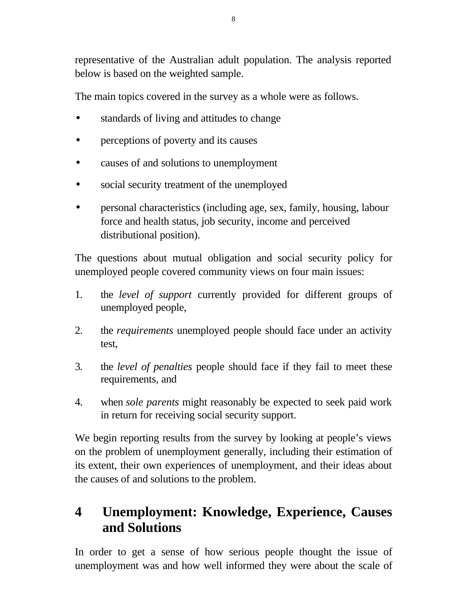representative of the Australian adult population. The analysis reported below is based on the weighted sample.

The main topics covered in the survey as a whole were as follows.

- standards of living and attitudes to change
- perceptions of poverty and its causes
- causes of and solutions to unemployment
- social security treatment of the unemployed
- personal characteristics (including age, sex, family, housing, labour force and health status, job security, income and perceived distributional position).

The questions about mutual obligation and social security policy for unemployed people covered community views on four main issues:

- 1. the *level of support* currently provided for different groups of unemployed people,
- 2. the *requirements* unemployed people should face under an activity test,
- 3. the *level of penalties* people should face if they fail to meet these requirements, and
- 4. when *sole parents* might reasonably be expected to seek paid work in return for receiving social security support.

We begin reporting results from the survey by looking at people's views on the problem of unemployment generally, including their estimation of its extent, their own experiences of unemployment, and their ideas about the causes of and solutions to the problem.

# **4 Unemployment: Knowledge, Experience, Causes and Solutions**

In order to get a sense of how serious people thought the issue of unemployment was and how well informed they were about the scale of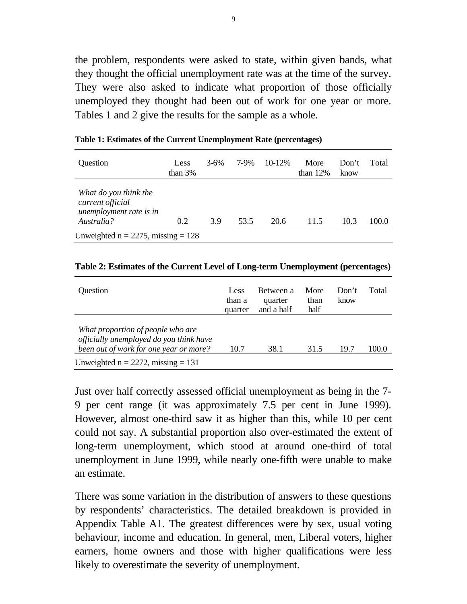the problem, respondents were asked to state, within given bands, what they thought the official unemployment rate was at the time of the survey. They were also asked to indicate what proportion of those officially unemployed they thought had been out of work for one year or more. Tables 1 and 2 give the results for the sample as a whole.

| Question                                                                           | Less<br>than $3%$ | $3 - 6\%$ | 7-9% | $10 - 12%$ | More<br>than $12%$ | Don't<br>know | Total |  |  |
|------------------------------------------------------------------------------------|-------------------|-----------|------|------------|--------------------|---------------|-------|--|--|
| What do you think the<br>current official<br>unemployment rate is in<br>Australia? | 0.2               | 3.9       | 53.5 | 20.6       | 11.5               | 10.3          | 100.0 |  |  |
| Unweighted $n = 2275$ , missing = 128                                              |                   |           |      |            |                    |               |       |  |  |

**Table 1: Estimates of the Current Unemployment Rate (percentages)**

| Question                                                                                                               | Less<br>than a<br>quarter | Between a<br>quarter<br>and a half | More<br>than<br>half | Don't<br>know | Total |
|------------------------------------------------------------------------------------------------------------------------|---------------------------|------------------------------------|----------------------|---------------|-------|
| What proportion of people who are<br>officially unemployed do you think have<br>been out of work for one year or more? | 10.7                      | 38.1                               | 31.5                 | 19.7          | 100.0 |
| Unweighted $n = 2272$ , missing = 131                                                                                  |                           |                                    |                      |               |       |

Just over half correctly assessed official unemployment as being in the 7- 9 per cent range (it was approximately 7.5 per cent in June 1999). However, almost one-third saw it as higher than this, while 10 per cent could not say. A substantial proportion also over-estimated the extent of long-term unemployment, which stood at around one-third of total unemployment in June 1999, while nearly one-fifth were unable to make an estimate.

There was some variation in the distribution of answers to these questions by respondents' characteristics. The detailed breakdown is provided in Appendix Table A1. The greatest differences were by sex, usual voting behaviour, income and education. In general, men, Liberal voters, higher earners, home owners and those with higher qualifications were less likely to overestimate the severity of unemployment.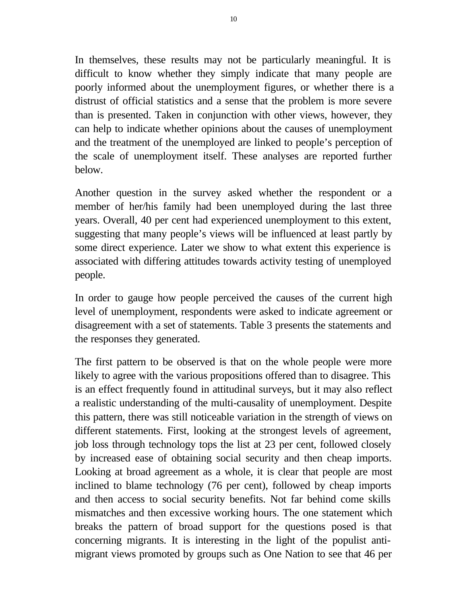In themselves, these results may not be particularly meaningful. It is difficult to know whether they simply indicate that many people are poorly informed about the unemployment figures, or whether there is a distrust of official statistics and a sense that the problem is more severe than is presented. Taken in conjunction with other views, however, they can help to indicate whether opinions about the causes of unemployment and the treatment of the unemployed are linked to people's perception of the scale of unemployment itself. These analyses are reported further below.

Another question in the survey asked whether the respondent or a member of her/his family had been unemployed during the last three years. Overall, 40 per cent had experienced unemployment to this extent, suggesting that many people's views will be influenced at least partly by some direct experience. Later we show to what extent this experience is associated with differing attitudes towards activity testing of unemployed people.

In order to gauge how people perceived the causes of the current high level of unemployment, respondents were asked to indicate agreement or disagreement with a set of statements. Table 3 presents the statements and the responses they generated.

The first pattern to be observed is that on the whole people were more likely to agree with the various propositions offered than to disagree. This is an effect frequently found in attitudinal surveys, but it may also reflect a realistic understanding of the multi-causality of unemployment. Despite this pattern, there was still noticeable variation in the strength of views on different statements. First, looking at the strongest levels of agreement, job loss through technology tops the list at 23 per cent, followed closely by increased ease of obtaining social security and then cheap imports. Looking at broad agreement as a whole, it is clear that people are most inclined to blame technology (76 per cent), followed by cheap imports and then access to social security benefits. Not far behind come skills mismatches and then excessive working hours. The one statement which breaks the pattern of broad support for the questions posed is that concerning migrants. It is interesting in the light of the populist antimigrant views promoted by groups such as One Nation to see that 46 per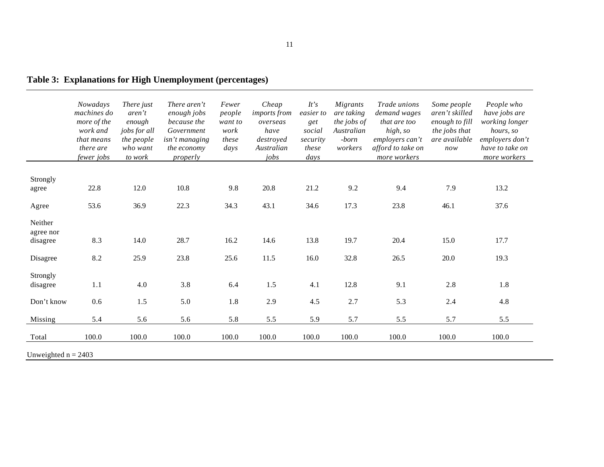|                       | Nowadays<br>machines do<br>more of the<br>work and<br>that means<br>there are<br>fewer jobs | There just<br>aren't<br>enough<br>jobs for all<br>the people<br>who want<br>to work | There aren't<br>enough jobs<br>because the<br>Government<br>isn't managing<br>the economy<br>properly | Fewer<br>people<br>want to<br>work<br>these<br>days | Cheap<br>imports from<br>overseas<br>have<br>destroyed<br>Australian<br>jobs | It's<br>easier to<br>get<br>social<br>security<br>these<br>days | Migrants<br>are taking<br>the jobs of<br>Australian<br>-born<br>workers | Trade unions<br>demand wages<br>that are too<br>high, so<br>employers can't<br>afford to take on<br>more workers | Some people<br>aren't skilled<br>enough to fill<br>the jobs that<br>are available<br>now | People who<br>have jobs are<br>working longer<br>hours, so<br>employers don't<br>have to take on<br>more workers |
|-----------------------|---------------------------------------------------------------------------------------------|-------------------------------------------------------------------------------------|-------------------------------------------------------------------------------------------------------|-----------------------------------------------------|------------------------------------------------------------------------------|-----------------------------------------------------------------|-------------------------------------------------------------------------|------------------------------------------------------------------------------------------------------------------|------------------------------------------------------------------------------------------|------------------------------------------------------------------------------------------------------------------|
| Strongly              |                                                                                             |                                                                                     |                                                                                                       |                                                     |                                                                              |                                                                 |                                                                         |                                                                                                                  |                                                                                          |                                                                                                                  |
| agree                 | 22.8                                                                                        | 12.0                                                                                | 10.8                                                                                                  | 9.8                                                 | 20.8                                                                         | 21.2                                                            | 9.2                                                                     | 9.4                                                                                                              | 7.9                                                                                      | 13.2                                                                                                             |
| Agree                 | 53.6                                                                                        | 36.9                                                                                | 22.3                                                                                                  | 34.3                                                | 43.1                                                                         | 34.6                                                            | 17.3                                                                    | 23.8                                                                                                             | 46.1                                                                                     | 37.6                                                                                                             |
| Neither               |                                                                                             |                                                                                     |                                                                                                       |                                                     |                                                                              |                                                                 |                                                                         |                                                                                                                  |                                                                                          |                                                                                                                  |
| agree nor<br>disagree | 8.3                                                                                         | 14.0                                                                                | 28.7                                                                                                  | 16.2                                                | 14.6                                                                         | 13.8                                                            | 19.7                                                                    | 20.4                                                                                                             | 15.0                                                                                     | 17.7                                                                                                             |
| Disagree              | 8.2                                                                                         | 25.9                                                                                | 23.8                                                                                                  | 25.6                                                | 11.5                                                                         | 16.0                                                            | 32.8                                                                    | 26.5                                                                                                             | 20.0                                                                                     | 19.3                                                                                                             |
| Strongly              |                                                                                             |                                                                                     |                                                                                                       |                                                     |                                                                              |                                                                 |                                                                         |                                                                                                                  |                                                                                          |                                                                                                                  |
| disagree              | 1.1                                                                                         | 4.0                                                                                 | 3.8                                                                                                   | 6.4                                                 | 1.5                                                                          | 4.1                                                             | 12.8                                                                    | 9.1                                                                                                              | 2.8                                                                                      | 1.8                                                                                                              |
| Don't know            | 0.6                                                                                         | 1.5                                                                                 | 5.0                                                                                                   | 1.8                                                 | 2.9                                                                          | 4.5                                                             | 2.7                                                                     | 5.3                                                                                                              | 2.4                                                                                      | 4.8                                                                                                              |
| Missing               | 5.4                                                                                         | 5.6                                                                                 | 5.6                                                                                                   | 5.8                                                 | 5.5                                                                          | 5.9                                                             | 5.7                                                                     | 5.5                                                                                                              | 5.7                                                                                      | 5.5                                                                                                              |
| Total                 | 100.0                                                                                       | 100.0                                                                               | 100.0                                                                                                 | 100.0                                               | 100.0                                                                        | 100.0                                                           | 100.0                                                                   | 100.0                                                                                                            | 100.0                                                                                    | 100.0                                                                                                            |

**Table 3: Explanations for High Unemployment (percentages)**

Unweighted  $n = 2403$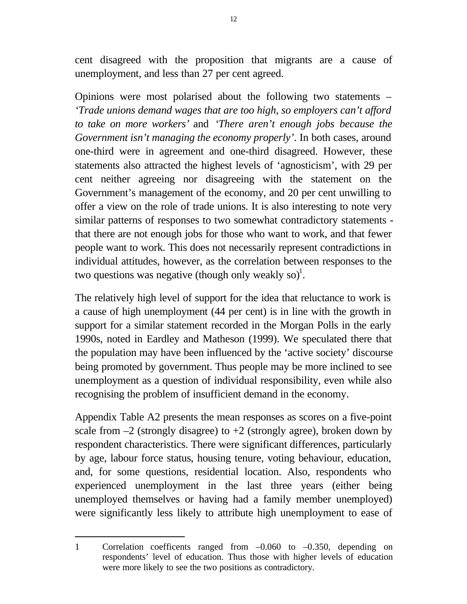cent disagreed with the proposition that migrants are a cause of unemployment, and less than 27 per cent agreed.

Opinions were most polarised about the following two statements – *'Trade unions demand wages that are too high, so employers can't afford to take on more workers'* and *'There aren't enough jobs because the Government isn't managing the economy properly'*. In both cases, around one-third were in agreement and one-third disagreed. However, these statements also attracted the highest levels of 'agnosticism', with 29 per cent neither agreeing nor disagreeing with the statement on the Government's management of the economy, and 20 per cent unwilling to offer a view on the role of trade unions. It is also interesting to note very similar patterns of responses to two somewhat contradictory statements that there are not enough jobs for those who want to work, and that fewer people want to work. This does not necessarily represent contradictions in individual attitudes, however, as the correlation between responses to the two questions was negative (though only weakly so)<sup>1</sup>.

The relatively high level of support for the idea that reluctance to work is a cause of high unemployment (44 per cent) is in line with the growth in support for a similar statement recorded in the Morgan Polls in the early 1990s, noted in Eardley and Matheson (1999). We speculated there that the population may have been influenced by the 'active society' discourse being promoted by government. Thus people may be more inclined to see unemployment as a question of individual responsibility, even while also recognising the problem of insufficient demand in the economy.

Appendix Table A2 presents the mean responses as scores on a five-point scale from  $-2$  (strongly disagree) to  $+2$  (strongly agree), broken down by respondent characteristics. There were significant differences, particularly by age, labour force status, housing tenure, voting behaviour, education, and, for some questions, residential location. Also, respondents who experienced unemployment in the last three years (either being unemployed themselves or having had a family member unemployed) were significantly less likely to attribute high unemployment to ease of

1 Correlation coefficents ranged from –0.060 to –0.350, depending on respondents' level of education. Thus those with higher levels of education were more likely to see the two positions as contradictory.

 $\overline{a}$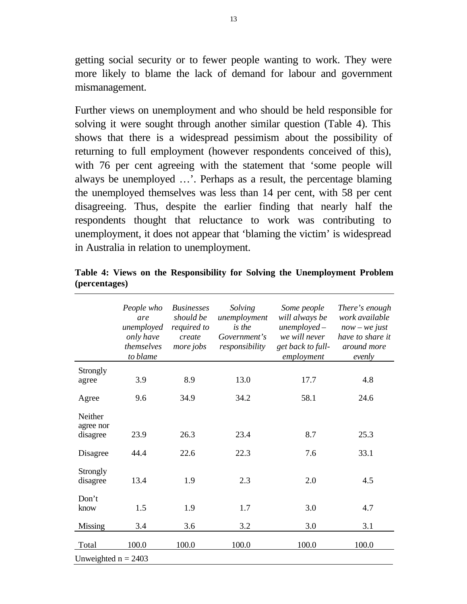getting social security or to fewer people wanting to work. They were more likely to blame the lack of demand for labour and government mismanagement.

Further views on unemployment and who should be held responsible for solving it were sought through another similar question (Table 4). This shows that there is a widespread pessimism about the possibility of returning to full employment (however respondents conceived of this), with 76 per cent agreeing with the statement that 'some people will always be unemployed …'. Perhaps as a result, the percentage blaming the unemployed themselves was less than 14 per cent, with 58 per cent disagreeing. Thus, despite the earlier finding that nearly half the respondents thought that reluctance to work was contributing to unemployment, it does not appear that 'blaming the victim' is widespread in Australia in relation to unemployment.

| 4.8   |
|-------|
| 24.6  |
| 25.3  |
| 33.1  |
| 4.5   |
| 4.7   |
| 3.1   |
| 100.0 |
|       |

**Table 4: Views on the Responsibility for Solving the Unemployment Problem (percentages)**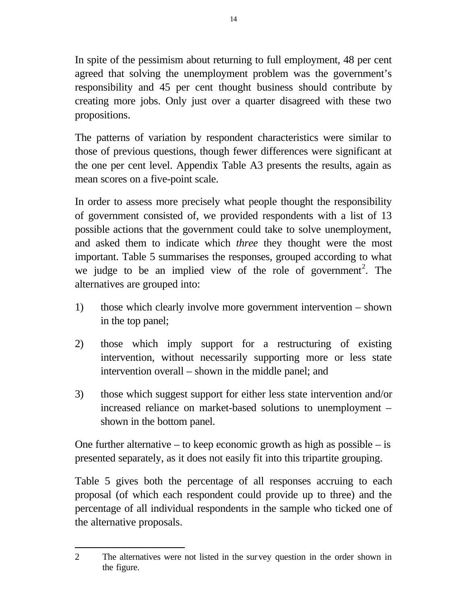In spite of the pessimism about returning to full employment, 48 per cent agreed that solving the unemployment problem was the government's responsibility and 45 per cent thought business should contribute by creating more jobs. Only just over a quarter disagreed with these two propositions.

The patterns of variation by respondent characteristics were similar to those of previous questions, though fewer differences were significant at the one per cent level. Appendix Table A3 presents the results, again as mean scores on a five-point scale.

In order to assess more precisely what people thought the responsibility of government consisted of, we provided respondents with a list of 13 possible actions that the government could take to solve unemployment, and asked them to indicate which *three* they thought were the most important. Table 5 summarises the responses, grouped according to what we judge to be an implied view of the role of government<sup>2</sup>. The alternatives are grouped into:

- 1) those which clearly involve more government intervention shown in the top panel;
- 2) those which imply support for a restructuring of existing intervention, without necessarily supporting more or less state intervention overall – shown in the middle panel; and
- 3) those which suggest support for either less state intervention and/or increased reliance on market-based solutions to unemployment – shown in the bottom panel.

One further alternative – to keep economic growth as high as possible – is presented separately, as it does not easily fit into this tripartite grouping.

Table 5 gives both the percentage of all responses accruing to each proposal (of which each respondent could provide up to three) and the percentage of all individual respondents in the sample who ticked one of the alternative proposals.

 $\overline{a}$ 2 The alternatives were not listed in the survey question in the order shown in the figure.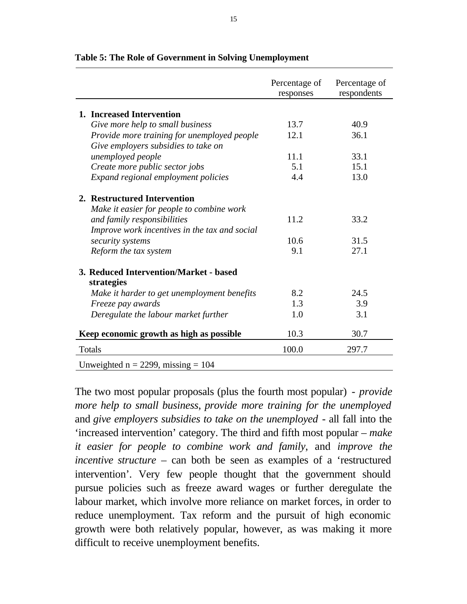|                                                      | Percentage of<br>responses | Percentage of<br>respondents |
|------------------------------------------------------|----------------------------|------------------------------|
|                                                      |                            |                              |
| 1. Increased Intervention                            |                            |                              |
| Give more help to small business                     | 13.7                       | 40.9                         |
| Provide more training for unemployed people          | 12.1                       | 36.1                         |
| Give employers subsidies to take on                  |                            |                              |
| unemployed people                                    | 11.1                       | 33.1                         |
| Create more public sector jobs                       | 5.1                        | 15.1                         |
| Expand regional employment policies                  | 4.4                        | 13.0                         |
| 2. Restructured Intervention                         |                            |                              |
| Make it easier for people to combine work            |                            |                              |
| and family responsibilities                          | 11.2                       | 33.2                         |
| Improve work incentives in the tax and social        |                            |                              |
| security systems                                     | 10.6                       | 31.5                         |
| Reform the tax system                                | 9.1                        | 27.1                         |
| 3. Reduced Intervention/Market - based<br>strategies |                            |                              |
| Make it harder to get unemployment benefits          | 8.2                        | 24.5                         |
| Freeze pay awards                                    | 1.3                        | 3.9                          |
| Deregulate the labour market further                 | 1.0                        | 3.1                          |
| Keep economic growth as high as possible             | 10.3                       | 30.7                         |
| Totals                                               | 100.0                      | 297.7                        |
| Unweighted $n = 2299$ , missing = 104                |                            |                              |

#### **Table 5: The Role of Government in Solving Unemployment**

The two most popular proposals (plus the fourth most popular) *- provide more help to small business*, *provide more training for the unemployed* and *give employers subsidies to take on the unemployed* - all fall into the 'increased intervention' category. The third and fifth most popular – *make it easier for people to combine work and family*, and *improve the incentive structure* – can both be seen as examples of a 'restructured intervention'. Very few people thought that the government should pursue policies such as freeze award wages or further deregulate the labour market, which involve more reliance on market forces, in order to reduce unemployment. Tax reform and the pursuit of high economic growth were both relatively popular, however, as was making it more difficult to receive unemployment benefits.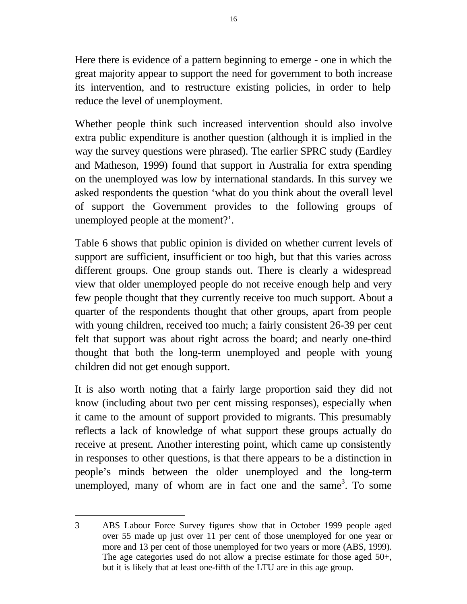Here there is evidence of a pattern beginning to emerge - one in which the great majority appear to support the need for government to both increase its intervention, and to restructure existing policies, in order to help reduce the level of unemployment.

Whether people think such increased intervention should also involve extra public expenditure is another question (although it is implied in the way the survey questions were phrased). The earlier SPRC study (Eardley and Matheson, 1999) found that support in Australia for extra spending on the unemployed was low by international standards. In this survey we asked respondents the question 'what do you think about the overall level of support the Government provides to the following groups of unemployed people at the moment?'.

Table 6 shows that public opinion is divided on whether current levels of support are sufficient, insufficient or too high, but that this varies across different groups. One group stands out. There is clearly a widespread view that older unemployed people do not receive enough help and very few people thought that they currently receive too much support. About a quarter of the respondents thought that other groups, apart from people with young children, received too much; a fairly consistent 26-39 per cent felt that support was about right across the board; and nearly one-third thought that both the long-term unemployed and people with young children did not get enough support.

It is also worth noting that a fairly large proportion said they did not know (including about two per cent missing responses), especially when it came to the amount of support provided to migrants. This presumably reflects a lack of knowledge of what support these groups actually do receive at present. Another interesting point, which came up consistently in responses to other questions, is that there appears to be a distinction in people's minds between the older unemployed and the long-term unemployed, many of whom are in fact one and the same<sup>3</sup>. To some

 $\overline{a}$ 

<sup>3</sup> ABS Labour Force Survey figures show that in October 1999 people aged over 55 made up just over 11 per cent of those unemployed for one year or more and 13 per cent of those unemployed for two years or more (ABS, 1999). The age categories used do not allow a precise estimate for those aged 50+, but it is likely that at least one-fifth of the LTU are in this age group.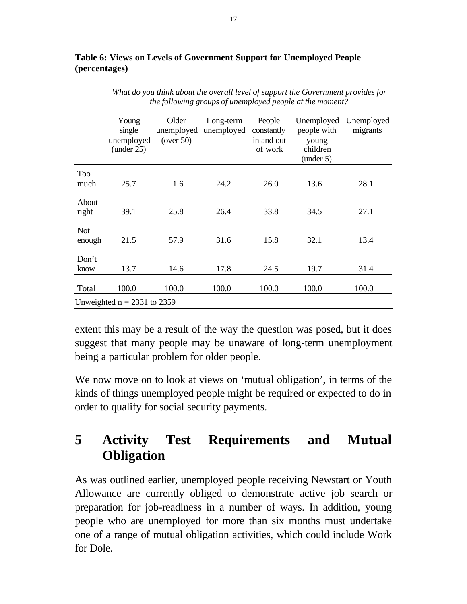|                      | Young<br>single<br>unemployed<br>(under 25) | Older<br>unemployed<br>(over 50) | Long-term<br>unemployed | People<br>constantly<br>in and out<br>of work | Unemployed<br>people with<br>young<br>children<br>(under 5) | Unemployed<br>migrants |  |  |  |  |
|----------------------|---------------------------------------------|----------------------------------|-------------------------|-----------------------------------------------|-------------------------------------------------------------|------------------------|--|--|--|--|
| <b>Too</b><br>much   | 25.7                                        | 1.6                              | 24.2                    | 26.0                                          | 13.6                                                        | 28.1                   |  |  |  |  |
| About<br>right       | 39.1                                        | 25.8                             | 26.4                    | 33.8                                          | 34.5                                                        | 27.1                   |  |  |  |  |
| <b>Not</b><br>enough | 21.5                                        | 57.9                             | 31.6                    | 15.8                                          | 32.1                                                        | 13.4                   |  |  |  |  |
| Don't<br>know        | 13.7                                        | 14.6                             | 17.8                    | 24.5                                          | 19.7                                                        | 31.4                   |  |  |  |  |
| Total                | 100.0                                       | 100.0                            | 100.0                   | 100.0                                         | 100.0                                                       | 100.0                  |  |  |  |  |
|                      | Unweighted $n = 2331$ to 2359               |                                  |                         |                                               |                                                             |                        |  |  |  |  |

#### **Table 6: Views on Levels of Government Support for Unemployed People (percentages)**

extent this may be a result of the way the question was posed, but it does suggest that many people may be unaware of long-term unemployment being a particular problem for older people.

We now move on to look at views on 'mutual obligation', in terms of the kinds of things unemployed people might be required or expected to do in order to qualify for social security payments.

# **5 Activity Test Requirements and Mutual Obligation**

As was outlined earlier, unemployed people receiving Newstart or Youth Allowance are currently obliged to demonstrate active job search or preparation for job-readiness in a number of ways. In addition, young people who are unemployed for more than six months must undertake one of a range of mutual obligation activities, which could include Work for Dole.

*What do you think about the overall level of support the Government provides for the following groups of unemployed people at the moment?*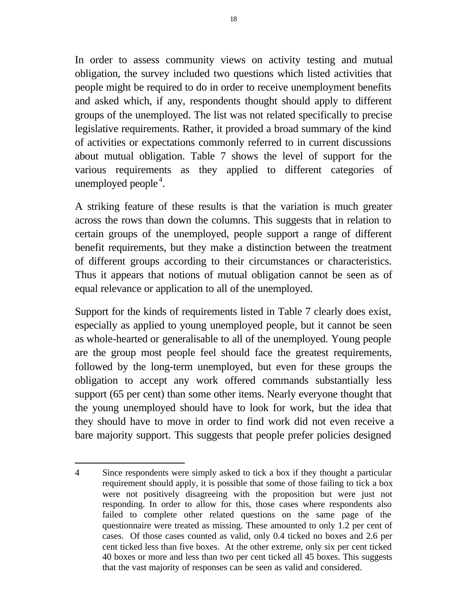In order to assess community views on activity testing and mutual obligation, the survey included two questions which listed activities that people might be required to do in order to receive unemployment benefits and asked which, if any, respondents thought should apply to different groups of the unemployed. The list was not related specifically to precise legislative requirements. Rather, it provided a broad summary of the kind of activities or expectations commonly referred to in current discussions about mutual obligation. Table 7 shows the level of support for the various requirements as they applied to different categories of unemployed people<sup>4</sup>.

A striking feature of these results is that the variation is much greater across the rows than down the columns. This suggests that in relation to certain groups of the unemployed, people support a range of different benefit requirements, but they make a distinction between the treatment of different groups according to their circumstances or characteristics. Thus it appears that notions of mutual obligation cannot be seen as of equal relevance or application to all of the unemployed.

Support for the kinds of requirements listed in Table 7 clearly does exist, especially as applied to young unemployed people, but it cannot be seen as whole-hearted or generalisable to all of the unemployed. Young people are the group most people feel should face the greatest requirements, followed by the long-term unemployed, but even for these groups the obligation to accept any work offered commands substantially less support (65 per cent) than some other items. Nearly everyone thought that the young unemployed should have to look for work, but the idea that they should have to move in order to find work did not even receive a bare majority support. This suggests that people prefer policies designed

 $\overline{a}$ 

<sup>4</sup> Since respondents were simply asked to tick a box if they thought a particular requirement should apply, it is possible that some of those failing to tick a box were not positively disagreeing with the proposition but were just not responding. In order to allow for this, those cases where respondents also failed to complete other related questions on the same page of the questionnaire were treated as missing. These amounted to only 1.2 per cent of cases. Of those cases counted as valid, only 0.4 ticked no boxes and 2.6 per cent ticked less than five boxes. At the other extreme, only six per cent ticked 40 boxes or more and less than two per cent ticked all 45 boxes. This suggests that the vast majority of responses can be seen as valid and considered.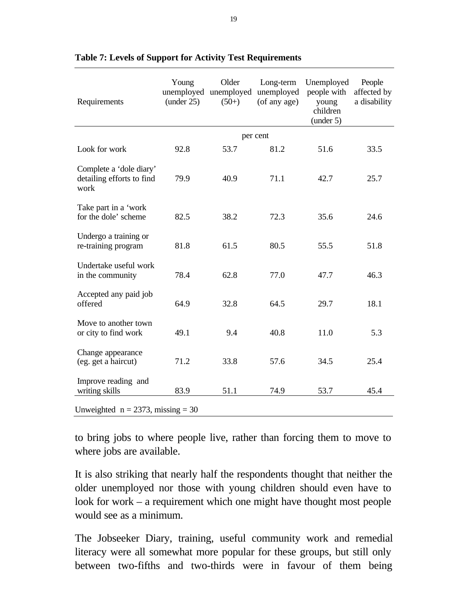| Requirements                                                 | Young<br>(under 25) | Older<br>unemployed unemployed<br>$(50+)$ | Long-term<br>unemployed<br>(of any age) | Unemployed<br>people with<br>young<br>children<br>(under 5) | People<br>affected by<br>a disability |
|--------------------------------------------------------------|---------------------|-------------------------------------------|-----------------------------------------|-------------------------------------------------------------|---------------------------------------|
|                                                              |                     |                                           | per cent                                |                                                             |                                       |
| Look for work                                                | 92.8                | 53.7                                      | 81.2                                    | 51.6                                                        | 33.5                                  |
| Complete a 'dole diary'<br>detailing efforts to find<br>work | 79.9                | 40.9                                      | 71.1                                    | 42.7                                                        | 25.7                                  |
| Take part in a 'work<br>for the dole' scheme                 | 82.5                | 38.2                                      | 72.3                                    | 35.6                                                        | 24.6                                  |
| Undergo a training or<br>re-training program                 | 81.8                | 61.5                                      | 80.5                                    | 55.5                                                        | 51.8                                  |
| Undertake useful work<br>in the community                    | 78.4                | 62.8                                      | 77.0                                    | 47.7                                                        | 46.3                                  |
| Accepted any paid job<br>offered                             | 64.9                | 32.8                                      | 64.5                                    | 29.7                                                        | 18.1                                  |
| Move to another town<br>or city to find work                 | 49.1                | 9.4                                       | 40.8                                    | 11.0                                                        | 5.3                                   |
| Change appearance<br>(eg. get a haircut)                     | 71.2                | 33.8                                      | 57.6                                    | 34.5                                                        | 25.4                                  |
| Improve reading and<br>writing skills                        | 83.9                | 51.1                                      | 74.9                                    | 53.7                                                        | 45.4                                  |
| Unweighted $n = 2373$ , missing = 30                         |                     |                                           |                                         |                                                             |                                       |

#### **Table 7: Levels of Support for Activity Test Requirements**

to bring jobs to where people live, rather than forcing them to move to where jobs are available.

It is also striking that nearly half the respondents thought that neither the older unemployed nor those with young children should even have to look for work – a requirement which one might have thought most people would see as a minimum.

The Jobseeker Diary, training, useful community work and remedial literacy were all somewhat more popular for these groups, but still only between two-fifths and two-thirds were in favour of them being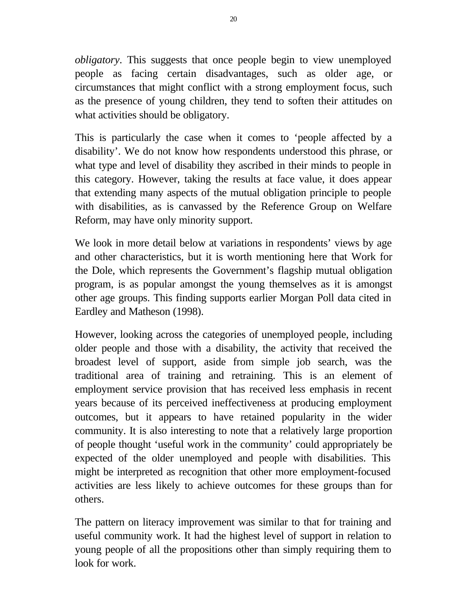*obligatory*. This suggests that once people begin to view unemployed people as facing certain disadvantages, such as older age, or circumstances that might conflict with a strong employment focus, such as the presence of young children, they tend to soften their attitudes on what activities should be obligatory.

This is particularly the case when it comes to 'people affected by a disability'. We do not know how respondents understood this phrase, or what type and level of disability they ascribed in their minds to people in this category. However, taking the results at face value, it does appear that extending many aspects of the mutual obligation principle to people with disabilities, as is canvassed by the Reference Group on Welfare Reform, may have only minority support.

We look in more detail below at variations in respondents' views by age and other characteristics, but it is worth mentioning here that Work for the Dole, which represents the Government's flagship mutual obligation program, is as popular amongst the young themselves as it is amongst other age groups. This finding supports earlier Morgan Poll data cited in Eardley and Matheson (1998).

However, looking across the categories of unemployed people, including older people and those with a disability, the activity that received the broadest level of support, aside from simple job search, was the traditional area of training and retraining. This is an element of employment service provision that has received less emphasis in recent years because of its perceived ineffectiveness at producing employment outcomes, but it appears to have retained popularity in the wider community. It is also interesting to note that a relatively large proportion of people thought 'useful work in the community' could appropriately be expected of the older unemployed and people with disabilities. This might be interpreted as recognition that other more employment-focused activities are less likely to achieve outcomes for these groups than for others.

The pattern on literacy improvement was similar to that for training and useful community work. It had the highest level of support in relation to young people of all the propositions other than simply requiring them to look for work.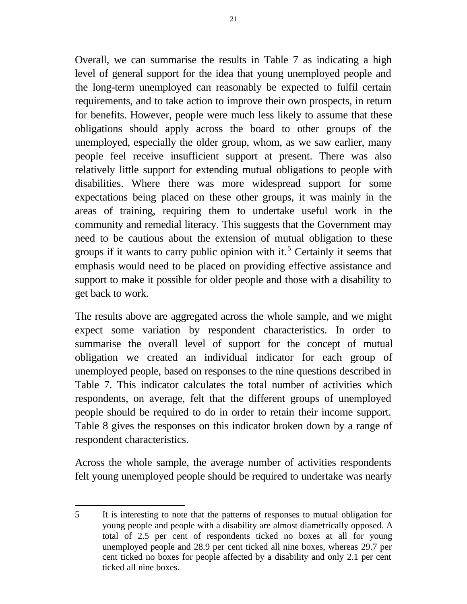Overall, we can summarise the results in Table 7 as indicating a high

level of general support for the idea that young unemployed people and the long-term unemployed can reasonably be expected to fulfil certain requirements, and to take action to improve their own prospects, in return for benefits. However, people were much less likely to assume that these obligations should apply across the board to other groups of the unemployed, especially the older group, whom, as we saw earlier, many people feel receive insufficient support at present. There was also relatively little support for extending mutual obligations to people with disabilities. Where there was more widespread support for some expectations being placed on these other groups, it was mainly in the areas of training, requiring them to undertake useful work in the community and remedial literacy. This suggests that the Government may need to be cautious about the extension of mutual obligation to these groups if it wants to carry public opinion with it.<sup>5</sup> Certainly it seems that emphasis would need to be placed on providing effective assistance and support to make it possible for older people and those with a disability to get back to work.

The results above are aggregated across the whole sample, and we might expect some variation by respondent characteristics. In order to summarise the overall level of support for the concept of mutual obligation we created an individual indicator for each group of unemployed people, based on responses to the nine questions described in Table 7. This indicator calculates the total number of activities which respondents, on average, felt that the different groups of unemployed people should be required to do in order to retain their income support. Table 8 gives the responses on this indicator broken down by a range of respondent characteristics.

Across the whole sample, the average number of activities respondents felt young unemployed people should be required to undertake was nearly

 $\overline{a}$ 5 It is interesting to note that the patterns of responses to mutual obligation for young people and people with a disability are almost diametrically opposed. A total of 2.5 per cent of respondents ticked no boxes at all for young unemployed people and 28.9 per cent ticked all nine boxes, whereas 29.7 per cent ticked no boxes for people affected by a disability and only 2.1 per cent ticked all nine boxes.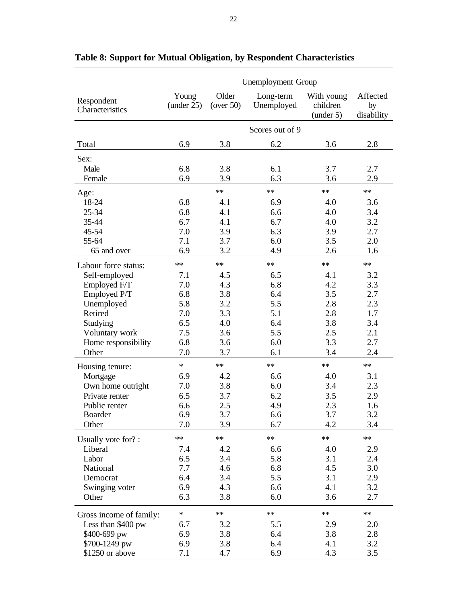|                               | <b>Unemployment Group</b> |                    |                         |                                     |                              |  |
|-------------------------------|---------------------------|--------------------|-------------------------|-------------------------------------|------------------------------|--|
| Respondent<br>Characteristics | Young<br>(under 25)       | Older<br>(over 50) | Long-term<br>Unemployed | With young<br>children<br>(under 5) | Affected<br>by<br>disability |  |
|                               |                           |                    | Scores out of 9         |                                     |                              |  |
| Total                         | 6.9                       | 3.8                | 6.2                     | 3.6                                 | 2.8                          |  |
| Sex:                          |                           |                    |                         |                                     |                              |  |
| Male                          | 6.8                       | 3.8                | 6.1                     | 3.7                                 | 2.7                          |  |
| Female                        | 6.9                       | 3.9                | 6.3                     | 3.6                                 | 2.9                          |  |
| Age:                          |                           | $**$               | $**$                    | $**$                                | $**$                         |  |
| 18-24                         | 6.8                       | 4.1                | 6.9                     | 4.0                                 | 3.6                          |  |
| 25-34                         | 6.8                       | 4.1                | 6.6                     | 4.0                                 | 3.4                          |  |
| 35-44                         | 6.7                       | 4.1                | 6.7                     | 4.0                                 | 3.2                          |  |
| 45-54                         | 7.0                       | 3.9                | 6.3                     | 3.9                                 | 2.7                          |  |
| 55-64                         | 7.1                       | 3.7                | 6.0                     | 3.5                                 | 2.0                          |  |
| 65 and over                   | 6.9                       | 3.2                | 4.9                     | 2.6                                 | 1.6                          |  |
| Labour force status:          | $**$                      | $**$               | $**$                    | $**$                                | $**$                         |  |
| Self-employed                 | 7.1                       | 4.5                | 6.5                     | 4.1                                 | 3.2                          |  |
| Employed F/T                  | 7.0                       | 4.3                | 6.8                     | 4.2                                 | 3.3                          |  |
| Employed P/T                  | 6.8                       | 3.8                | 6.4                     | 3.5                                 | 2.7                          |  |
| Unemployed                    | 5.8                       | 3.2                | 5.5                     | 2.8                                 | 2.3                          |  |
| Retired                       | 7.0                       | 3.3                | 5.1                     | 2.8                                 | 1.7                          |  |
| Studying                      | 6.5                       | 4.0                | 6.4                     | 3.8                                 | 3.4                          |  |
| Voluntary work                | 7.5                       | 3.6                | 5.5                     | 2.5                                 | 2.1                          |  |
| Home responsibility           | 6.8                       | 3.6                | 6.0                     | 3.3                                 | $2.7\,$                      |  |
| Other                         | 7.0                       | 3.7                | 6.1                     | 3.4                                 | 2.4                          |  |
| Housing tenure:               | $\ast$                    | $**$               | $**$                    | $**$                                | $**$                         |  |
| Mortgage                      | 6.9                       | 4.2                | 6.6                     | 4.0                                 | 3.1                          |  |
| Own home outright             | 7.0                       | 3.8                | 6.0                     | 3.4                                 | 2.3                          |  |
| Private renter                | 6.5                       | 3.7                | 6.2                     | 3.5                                 | 2.9                          |  |
| Public renter                 | 6.6                       | 2.5                | 4.9                     | 2.3                                 | 1.6                          |  |
| <b>Boarder</b>                | 6.9                       | 3.7                | 6.6                     | 3.7                                 | 3.2                          |  |
| Other                         | 7.0                       | 3.9                | 6.7                     | 4.2                                 | 3.4                          |  |
| Usually vote for?:            | **                        | **                 | $**$                    | **                                  | **                           |  |
| Liberal                       | 7.4                       | 4.2                | 6.6                     | 4.0                                 | 2.9                          |  |
| Labor                         | 6.5                       | 3.4                | 5.8                     | 3.1                                 | 2.4                          |  |
| National                      | 7.7                       | 4.6                | 6.8                     | 4.5                                 | 3.0                          |  |
| Democrat                      | 6.4                       | 3.4                | 5.5                     | 3.1                                 | 2.9                          |  |
| Swinging voter                | 6.9                       | 4.3                | 6.6                     | 4.1                                 | 3.2                          |  |
| Other                         | 6.3                       | 3.8                | 6.0                     | 3.6                                 | 2.7                          |  |
| Gross income of family:       | $\ast$                    | $**$               | $**$                    | **                                  | **                           |  |
| Less than \$400 pw            | 6.7                       | 3.2                | 5.5                     | 2.9                                 | 2.0                          |  |
| \$400-699 pw                  | 6.9                       | 3.8                | 6.4                     | 3.8                                 | 2.8                          |  |
| \$700-1249 pw                 | 6.9                       | 3.8                | 6.4                     | 4.1                                 | 3.2                          |  |
| \$1250 or above               | 7.1                       | 4.7                | 6.9                     | 4.3                                 | 3.5                          |  |

### **Table 8: Support for Mutual Obligation, by Respondent Characteristics**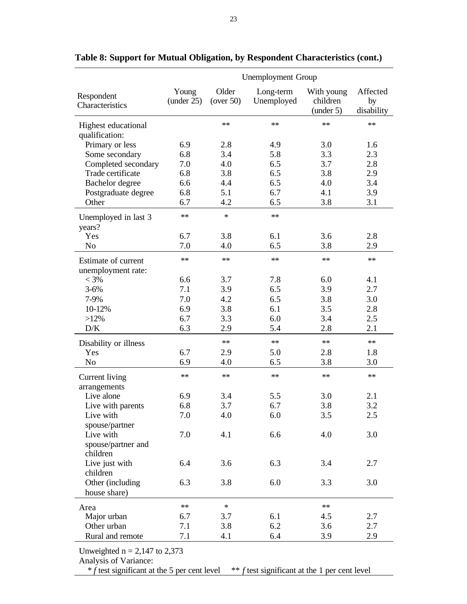|                                           | <b>Unemployment Group</b> |                    |                         |                                     |                              |  |
|-------------------------------------------|---------------------------|--------------------|-------------------------|-------------------------------------|------------------------------|--|
| Respondent<br>Characteristics             | Young<br>(under 25)       | Older<br>(over 50) | Long-term<br>Unemployed | With young<br>children<br>(under 5) | Affected<br>by<br>disability |  |
| Highest educational                       |                           | **                 | **                      | **                                  | **                           |  |
| qualification:                            |                           |                    |                         |                                     |                              |  |
| Primary or less                           | 6.9                       | 2.8                | 4.9                     | 3.0                                 | 1.6                          |  |
| Some secondary                            | 6.8                       | 3.4                | 5.8                     | 3.3                                 | 2.3                          |  |
| Completed secondary                       | 7.0                       | 4.0                | 6.5                     | 3.7                                 | 2.8                          |  |
| Trade certificate                         | 6.8                       | 3.8                | 6.5                     | 3.8                                 | 2.9                          |  |
| Bachelor degree                           | 6.6                       | 4.4                | 6.5                     | 4.0                                 | 3.4                          |  |
| Postgraduate degree                       | 6.8                       | 5.1                | 6.7                     | 4.1                                 | 3.9                          |  |
| Other                                     | 6.7                       | 4.2                | 6.5                     | 3.8                                 | 3.1                          |  |
| Unemployed in last 3<br>years?            | $**$                      | $\ast$             | $**$                    |                                     |                              |  |
| Yes                                       | 6.7                       | 3.8                | 6.1                     | 3.6                                 | 2.8                          |  |
| N <sub>o</sub>                            | 7.0                       | 4.0                | 6.5                     | 3.8                                 | 2.9                          |  |
| Estimate of current<br>unemployment rate: | **                        | $**$               | $**$                    | $**$                                | $**$                         |  |
| $< 3\%$                                   | 6.6                       | 3.7                | 7.8                     | 6.0                                 | 4.1                          |  |
| $3 - 6%$                                  | 7.1                       | 3.9                | 6.5                     | 3.9                                 | 2.7                          |  |
| 7-9%                                      | 7.0                       | 4.2                | 6.5                     | 3.8                                 | 3.0                          |  |
| 10-12%                                    | 6.9                       | 3.8                | 6.1                     | 3.5                                 | 2.8                          |  |
| $>12\%$                                   | 6.7                       | 3.3                | 6.0                     | 3.4                                 | 2.5                          |  |
| D/K                                       | 6.3                       | 2.9                | 5.4                     | 2.8                                 | 2.1                          |  |
| Disability or illness                     |                           | $**$               | $**$                    | $**$                                | $**$                         |  |
| Yes                                       | 6.7                       | 2.9                | 5.0                     | 2.8                                 | 1.8                          |  |
| No                                        | 6.9                       | 4.0                | 6.5                     | 3.8                                 | 3.0                          |  |
| Current living<br>arrangements            | **                        | **                 | **                      | $**$                                | **                           |  |
| Live alone                                | 6.9                       | 3.4                | 5.5                     | 3.0                                 | 2.1                          |  |
| Live with parents                         | 6.8                       | 3.7                | 6.7                     | 3.8                                 | 3.2                          |  |
| Live with                                 | 7.0                       | 4.0                | 6.0                     | 3.5                                 | 2.5                          |  |
| spouse/partner                            |                           |                    |                         |                                     |                              |  |
| Live with                                 | 7.0                       | 4.1                | 6.6                     | 4.0                                 | 3.0                          |  |
| spouse/partner and<br>children            |                           |                    |                         |                                     |                              |  |
| Live just with                            | 6.4                       | 3.6                | 6.3                     | 3.4                                 | 2.7                          |  |
| children                                  |                           |                    |                         |                                     |                              |  |
| Other (including<br>house share)          | 6.3                       | 3.8                | 6.0                     | 3.3                                 | 3.0                          |  |
|                                           | **                        | $\ast$             |                         | $**$                                |                              |  |
| Area<br>Major urban                       | 6.7                       | 3.7                | 6.1                     | 4.5                                 | 2.7                          |  |
| Other urban                               | 7.1                       | 3.8                | 6.2                     | 3.6                                 | 2.7                          |  |
| Rural and remote                          | 7.1                       | 4.1                | 6.4                     | 3.9                                 | 2.9                          |  |
|                                           |                           |                    |                         |                                     |                              |  |
| Unweighted $n = 2$ 147 to 2.373           |                           |                    |                         |                                     |                              |  |

#### **Table 8: Support for Mutual Obligation, by Respondent Characteristics (cont.)**

Unweighted  $n = 2,147$  to 2,373

Analysis of Variance:

 $*$  *f* test significant at the 5 per cent level  $*$  *f* test significant at the 1 per cent level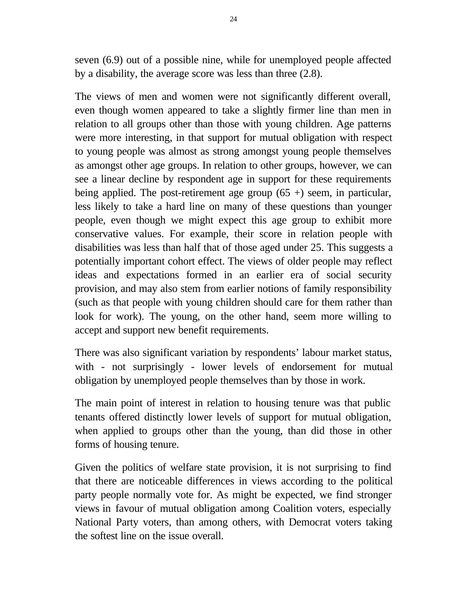seven (6.9) out of a possible nine, while for unemployed people affected by a disability, the average score was less than three (2.8).

The views of men and women were not significantly different overall, even though women appeared to take a slightly firmer line than men in relation to all groups other than those with young children. Age patterns were more interesting, in that support for mutual obligation with respect to young people was almost as strong amongst young people themselves as amongst other age groups. In relation to other groups, however, we can see a linear decline by respondent age in support for these requirements being applied. The post-retirement age group  $(65 +)$  seem, in particular, less likely to take a hard line on many of these questions than younger people, even though we might expect this age group to exhibit more conservative values. For example, their score in relation people with disabilities was less than half that of those aged under 25. This suggests a potentially important cohort effect. The views of older people may reflect ideas and expectations formed in an earlier era of social security provision, and may also stem from earlier notions of family responsibility (such as that people with young children should care for them rather than look for work). The young, on the other hand, seem more willing to accept and support new benefit requirements.

There was also significant variation by respondents' labour market status, with - not surprisingly - lower levels of endorsement for mutual obligation by unemployed people themselves than by those in work.

The main point of interest in relation to housing tenure was that public tenants offered distinctly lower levels of support for mutual obligation, when applied to groups other than the young, than did those in other forms of housing tenure.

Given the politics of welfare state provision, it is not surprising to find that there are noticeable differences in views according to the political party people normally vote for. As might be expected, we find stronger views in favour of mutual obligation among Coalition voters, especially National Party voters, than among others, with Democrat voters taking the softest line on the issue overall.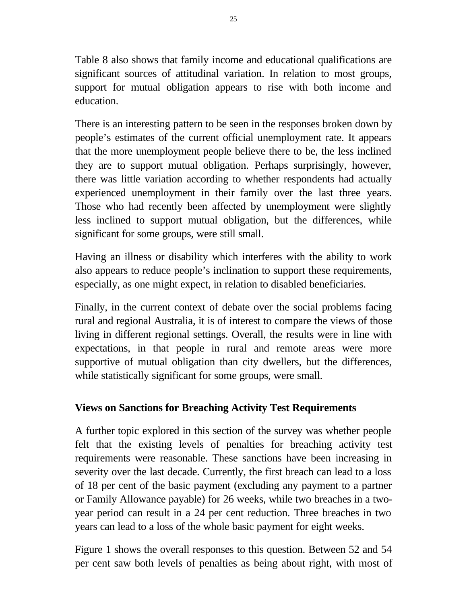Table 8 also shows that family income and educational qualifications are significant sources of attitudinal variation. In relation to most groups, support for mutual obligation appears to rise with both income and education.

There is an interesting pattern to be seen in the responses broken down by people's estimates of the current official unemployment rate. It appears that the more unemployment people believe there to be, the less inclined they are to support mutual obligation. Perhaps surprisingly, however, there was little variation according to whether respondents had actually experienced unemployment in their family over the last three years. Those who had recently been affected by unemployment were slightly less inclined to support mutual obligation, but the differences, while significant for some groups, were still small.

Having an illness or disability which interferes with the ability to work also appears to reduce people's inclination to support these requirements, especially, as one might expect, in relation to disabled beneficiaries.

Finally, in the current context of debate over the social problems facing rural and regional Australia, it is of interest to compare the views of those living in different regional settings. Overall, the results were in line with expectations, in that people in rural and remote areas were more supportive of mutual obligation than city dwellers, but the differences, while statistically significant for some groups, were small.

### **Views on Sanctions for Breaching Activity Test Requirements**

A further topic explored in this section of the survey was whether people felt that the existing levels of penalties for breaching activity test requirements were reasonable. These sanctions have been increasing in severity over the last decade. Currently, the first breach can lead to a loss of 18 per cent of the basic payment (excluding any payment to a partner or Family Allowance payable) for 26 weeks, while two breaches in a twoyear period can result in a 24 per cent reduction. Three breaches in two years can lead to a loss of the whole basic payment for eight weeks.

Figure 1 shows the overall responses to this question. Between 52 and 54 per cent saw both levels of penalties as being about right, with most of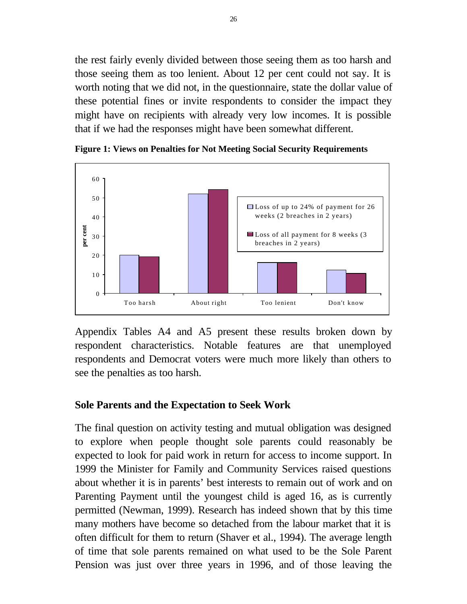the rest fairly evenly divided between those seeing them as too harsh and those seeing them as too lenient. About 12 per cent could not say. It is worth noting that we did not, in the questionnaire, state the dollar value of these potential fines or invite respondents to consider the impact they might have on recipients with already very low incomes. It is possible that if we had the responses might have been somewhat different.



**Figure 1: Views on Penalties for Not Meeting Social Security Requirements**

Appendix Tables A4 and A5 present these results broken down by respondent characteristics. Notable features are that unemployed respondents and Democrat voters were much more likely than others to see the penalties as too harsh.

#### **Sole Parents and the Expectation to Seek Work**

The final question on activity testing and mutual obligation was designed to explore when people thought sole parents could reasonably be expected to look for paid work in return for access to income support. In 1999 the Minister for Family and Community Services raised questions about whether it is in parents' best interests to remain out of work and on Parenting Payment until the youngest child is aged 16, as is currently permitted (Newman, 1999). Research has indeed shown that by this time many mothers have become so detached from the labour market that it is often difficult for them to return (Shaver et al., 1994). The average length of time that sole parents remained on what used to be the Sole Parent Pension was just over three years in 1996, and of those leaving the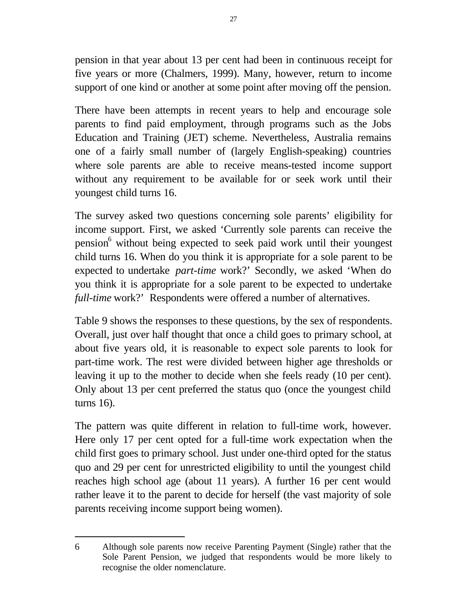pension in that year about 13 per cent had been in continuous receipt for five years or more (Chalmers, 1999). Many, however, return to income support of one kind or another at some point after moving off the pension.

There have been attempts in recent years to help and encourage sole parents to find paid employment, through programs such as the Jobs Education and Training (JET) scheme. Nevertheless, Australia remains one of a fairly small number of (largely English-speaking) countries where sole parents are able to receive means-tested income support without any requirement to be available for or seek work until their youngest child turns 16.

The survey asked two questions concerning sole parents' eligibility for income support. First, we asked 'Currently sole parents can receive the pension<sup>6</sup> without being expected to seek paid work until their youngest child turns 16. When do you think it is appropriate for a sole parent to be expected to undertake *part-time* work?' Secondly, we asked 'When do you think it is appropriate for a sole parent to be expected to undertake *full-time* work?' Respondents were offered a number of alternatives.

Table 9 shows the responses to these questions, by the sex of respondents. Overall, just over half thought that once a child goes to primary school, at about five years old, it is reasonable to expect sole parents to look for part-time work. The rest were divided between higher age thresholds or leaving it up to the mother to decide when she feels ready (10 per cent). Only about 13 per cent preferred the status quo (once the youngest child turns 16).

The pattern was quite different in relation to full-time work, however. Here only 17 per cent opted for a full-time work expectation when the child first goes to primary school. Just under one-third opted for the status quo and 29 per cent for unrestricted eligibility to until the youngest child reaches high school age (about 11 years). A further 16 per cent would rather leave it to the parent to decide for herself (the vast majority of sole parents receiving income support being women).

 $\overline{a}$ 

<sup>6</sup> Although sole parents now receive Parenting Payment (Single) rather that the Sole Parent Pension, we judged that respondents would be more likely to recognise the older nomenclature.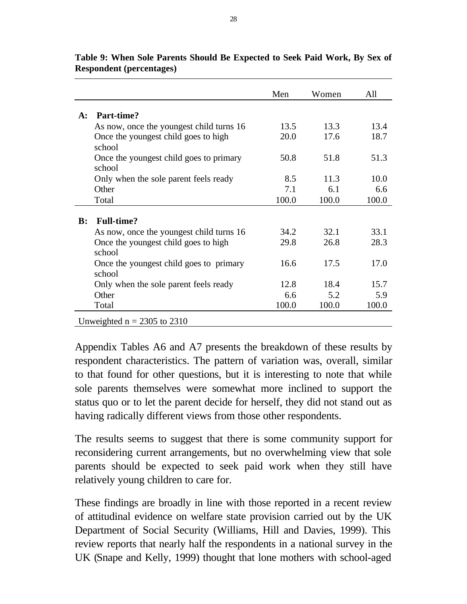|                |                                                   | Men   | Women | All   |
|----------------|---------------------------------------------------|-------|-------|-------|
| $A$ :          | Part-time?                                        |       |       |       |
|                |                                                   |       |       |       |
|                | As now, once the youngest child turns 16          | 13.5  | 13.3  | 13.4  |
|                | Once the youngest child goes to high<br>school    | 20.0  | 17.6  | 18.7  |
|                | Once the youngest child goes to primary<br>school | 50.8  | 51.8  | 51.3  |
|                | Only when the sole parent feels ready             | 8.5   | 11.3  | 10.0  |
|                | Other                                             | 7.1   | 6.1   | 6.6   |
|                | Total                                             | 100.0 | 100.0 | 100.0 |
|                |                                                   |       |       |       |
| $\mathbf{B}$ : | <b>Full-time?</b>                                 |       |       |       |
|                | As now, once the youngest child turns 16          | 34.2  | 32.1  | 33.1  |
|                | Once the youngest child goes to high<br>school    | 29.8  | 26.8  | 28.3  |
|                | Once the youngest child goes to primary<br>school | 16.6  | 17.5  | 17.0  |
|                | Only when the sole parent feels ready             | 12.8  | 18.4  | 15.7  |
|                | Other                                             | 6.6   | 5.2   | 5.9   |
|                | Total                                             | 100.0 | 100.0 | 100.0 |
|                | Unweighted $n = 2305$ to 2310                     |       |       |       |

**Table 9: When Sole Parents Should Be Expected to Seek Paid Work, By Sex of Respondent (percentages)**

Appendix Tables A6 and A7 presents the breakdown of these results by respondent characteristics. The pattern of variation was, overall, similar to that found for other questions, but it is interesting to note that while sole parents themselves were somewhat more inclined to support the status quo or to let the parent decide for herself, they did not stand out as having radically different views from those other respondents.

The results seems to suggest that there is some community support for reconsidering current arrangements, but no overwhelming view that sole parents should be expected to seek paid work when they still have relatively young children to care for.

These findings are broadly in line with those reported in a recent review of attitudinal evidence on welfare state provision carried out by the UK Department of Social Security (Williams, Hill and Davies, 1999). This review reports that nearly half the respondents in a national survey in the UK (Snape and Kelly, 1999) thought that lone mothers with school-aged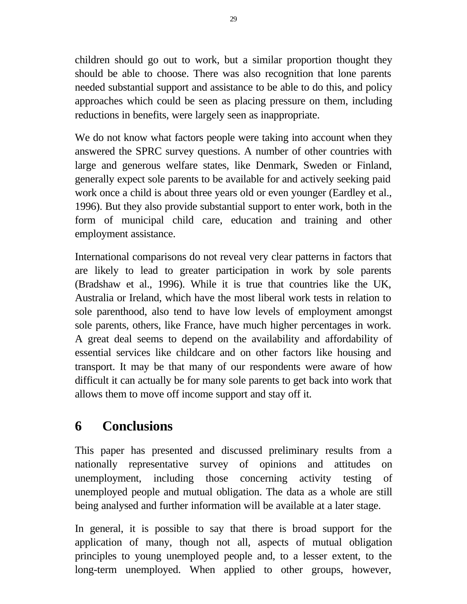children should go out to work, but a similar proportion thought they should be able to choose. There was also recognition that lone parents needed substantial support and assistance to be able to do this, and policy approaches which could be seen as placing pressure on them, including reductions in benefits, were largely seen as inappropriate.

We do not know what factors people were taking into account when they answered the SPRC survey questions. A number of other countries with large and generous welfare states, like Denmark, Sweden or Finland, generally expect sole parents to be available for and actively seeking paid work once a child is about three years old or even younger (Eardley et al., 1996). But they also provide substantial support to enter work, both in the form of municipal child care, education and training and other employment assistance.

International comparisons do not reveal very clear patterns in factors that are likely to lead to greater participation in work by sole parents (Bradshaw et al., 1996). While it is true that countries like the UK, Australia or Ireland, which have the most liberal work tests in relation to sole parenthood, also tend to have low levels of employment amongst sole parents, others, like France, have much higher percentages in work. A great deal seems to depend on the availability and affordability of essential services like childcare and on other factors like housing and transport. It may be that many of our respondents were aware of how difficult it can actually be for many sole parents to get back into work that allows them to move off income support and stay off it.

# **6 Conclusions**

This paper has presented and discussed preliminary results from a nationally representative survey of opinions and attitudes on unemployment, including those concerning activity testing of unemployed people and mutual obligation. The data as a whole are still being analysed and further information will be available at a later stage.

In general, it is possible to say that there is broad support for the application of many, though not all, aspects of mutual obligation principles to young unemployed people and, to a lesser extent, to the long-term unemployed. When applied to other groups, however,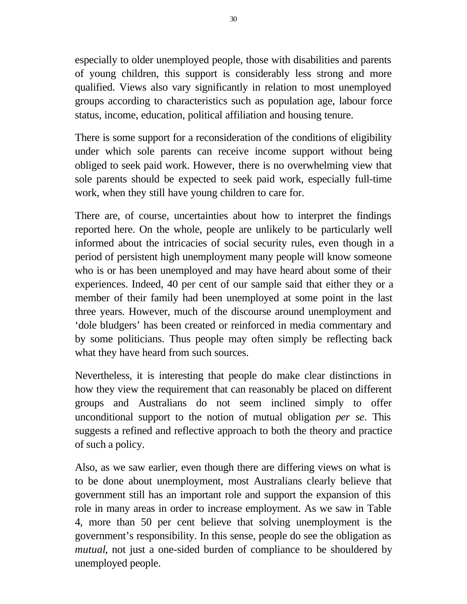especially to older unemployed people, those with disabilities and parents of young children, this support is considerably less strong and more qualified. Views also vary significantly in relation to most unemployed groups according to characteristics such as population age, labour force status, income, education, political affiliation and housing tenure.

There is some support for a reconsideration of the conditions of eligibility under which sole parents can receive income support without being obliged to seek paid work. However, there is no overwhelming view that sole parents should be expected to seek paid work, especially full-time work, when they still have young children to care for.

There are, of course, uncertainties about how to interpret the findings reported here. On the whole, people are unlikely to be particularly well informed about the intricacies of social security rules, even though in a period of persistent high unemployment many people will know someone who is or has been unemployed and may have heard about some of their experiences. Indeed, 40 per cent of our sample said that either they or a member of their family had been unemployed at some point in the last three years. However, much of the discourse around unemployment and 'dole bludgers' has been created or reinforced in media commentary and by some politicians. Thus people may often simply be reflecting back what they have heard from such sources.

Nevertheless, it is interesting that people do make clear distinctions in how they view the requirement that can reasonably be placed on different groups and Australians do not seem inclined simply to offer unconditional support to the notion of mutual obligation *per se*. This suggests a refined and reflective approach to both the theory and practice of such a policy.

Also, as we saw earlier, even though there are differing views on what is to be done about unemployment, most Australians clearly believe that government still has an important role and support the expansion of this role in many areas in order to increase employment. As we saw in Table 4, more than 50 per cent believe that solving unemployment is the government's responsibility. In this sense, people do see the obligation as *mutual*, not just a one-sided burden of compliance to be shouldered by unemployed people.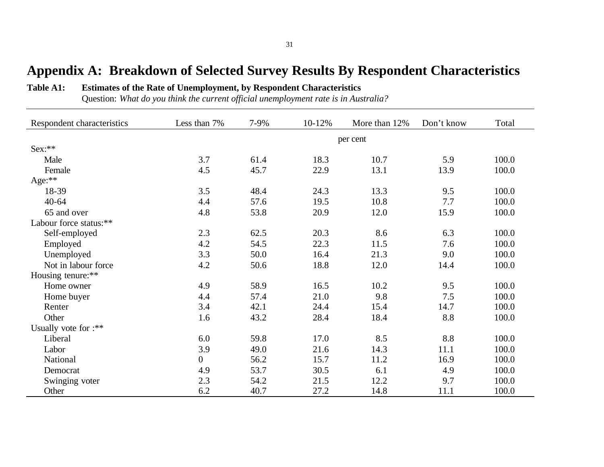# **Appendix A: Breakdown of Selected Survey Results By Respondent Characteristics**

#### **Table A1: Estimates of the Rate of Unemployment, by Respondent Characteristics**

Question: *What do you think the current official unemployment rate is in Australia?*

| Respondent characteristics | Less than 7%     | 7-9% | 10-12% | More than 12% | Don't know | Total |
|----------------------------|------------------|------|--------|---------------|------------|-------|
|                            |                  |      |        | per cent      |            |       |
| Sex:**                     |                  |      |        |               |            |       |
| Male                       | 3.7              | 61.4 | 18.3   | 10.7          | 5.9        | 100.0 |
| Female                     | 4.5              | 45.7 | 22.9   | 13.1          | 13.9       | 100.0 |
| Age:**                     |                  |      |        |               |            |       |
| 18-39                      | 3.5              | 48.4 | 24.3   | 13.3          | 9.5        | 100.0 |
| $40 - 64$                  | 4.4              | 57.6 | 19.5   | 10.8          | 7.7        | 100.0 |
| 65 and over                | 4.8              | 53.8 | 20.9   | 12.0          | 15.9       | 100.0 |
| Labour force status:**     |                  |      |        |               |            |       |
| Self-employed              | 2.3              | 62.5 | 20.3   | 8.6           | 6.3        | 100.0 |
| Employed                   | 4.2              | 54.5 | 22.3   | 11.5          | 7.6        | 100.0 |
| Unemployed                 | 3.3              | 50.0 | 16.4   | 21.3          | 9.0        | 100.0 |
| Not in labour force        | 4.2              | 50.6 | 18.8   | 12.0          | 14.4       | 100.0 |
| Housing tenure:**          |                  |      |        |               |            |       |
| Home owner                 | 4.9              | 58.9 | 16.5   | 10.2          | 9.5        | 100.0 |
| Home buyer                 | 4.4              | 57.4 | 21.0   | 9.8           | 7.5        | 100.0 |
| Renter                     | 3.4              | 42.1 | 24.4   | 15.4          | 14.7       | 100.0 |
| Other                      | 1.6              | 43.2 | 28.4   | 18.4          | 8.8        | 100.0 |
| Usually vote for :**       |                  |      |        |               |            |       |
| Liberal                    | 6.0              | 59.8 | 17.0   | 8.5           | 8.8        | 100.0 |
| Labor                      | 3.9              | 49.0 | 21.6   | 14.3          | 11.1       | 100.0 |
| National                   | $\boldsymbol{0}$ | 56.2 | 15.7   | 11.2          | 16.9       | 100.0 |
| Democrat                   | 4.9              | 53.7 | 30.5   | 6.1           | 4.9        | 100.0 |
| Swinging voter             | 2.3              | 54.2 | 21.5   | 12.2          | 9.7        | 100.0 |
| Other                      | 6.2              | 40.7 | 27.2   | 14.8          | 11.1       | 100.0 |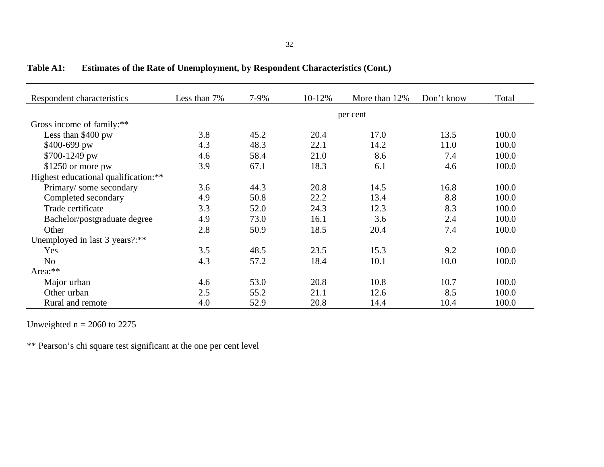| Respondent characteristics           | Less than 7% | 7-9% | 10-12% | More than 12% | Don't know | Total |  |  |
|--------------------------------------|--------------|------|--------|---------------|------------|-------|--|--|
|                                      | per cent     |      |        |               |            |       |  |  |
| Gross income of family:**            |              |      |        |               |            |       |  |  |
| Less than \$400 pw                   | 3.8          | 45.2 | 20.4   | 17.0          | 13.5       | 100.0 |  |  |
| \$400-699 pw                         | 4.3          | 48.3 | 22.1   | 14.2          | 11.0       | 100.0 |  |  |
| \$700-1249 pw                        | 4.6          | 58.4 | 21.0   | 8.6           | 7.4        | 100.0 |  |  |
| $$1250$ or more pw                   | 3.9          | 67.1 | 18.3   | 6.1           | 4.6        | 100.0 |  |  |
| Highest educational qualification:** |              |      |        |               |            |       |  |  |
| Primary/some secondary               | 3.6          | 44.3 | 20.8   | 14.5          | 16.8       | 100.0 |  |  |
| Completed secondary                  | 4.9          | 50.8 | 22.2   | 13.4          | 8.8        | 100.0 |  |  |
| Trade certificate                    | 3.3          | 52.0 | 24.3   | 12.3          | 8.3        | 100.0 |  |  |
| Bachelor/postgraduate degree         | 4.9          | 73.0 | 16.1   | 3.6           | 2.4        | 100.0 |  |  |
| Other                                | 2.8          | 50.9 | 18.5   | 20.4          | 7.4        | 100.0 |  |  |
| Unemployed in last 3 years?:**       |              |      |        |               |            |       |  |  |
| Yes                                  | 3.5          | 48.5 | 23.5   | 15.3          | 9.2        | 100.0 |  |  |
| N <sub>o</sub>                       | 4.3          | 57.2 | 18.4   | 10.1          | 10.0       | 100.0 |  |  |
| Area:**                              |              |      |        |               |            |       |  |  |
| Major urban                          | 4.6          | 53.0 | 20.8   | 10.8          | 10.7       | 100.0 |  |  |
| Other urban                          | 2.5          | 55.2 | 21.1   | 12.6          | 8.5        | 100.0 |  |  |
| Rural and remote                     | 4.0          | 52.9 | 20.8   | 14.4          | 10.4       | 100.0 |  |  |

**Table A1: Estimates of the Rate of Unemployment, by Respondent Characteristics (Cont.)**

Unweighted  $n = 2060$  to 2275

\*\* Pearson's chi square test significant at the one per cent level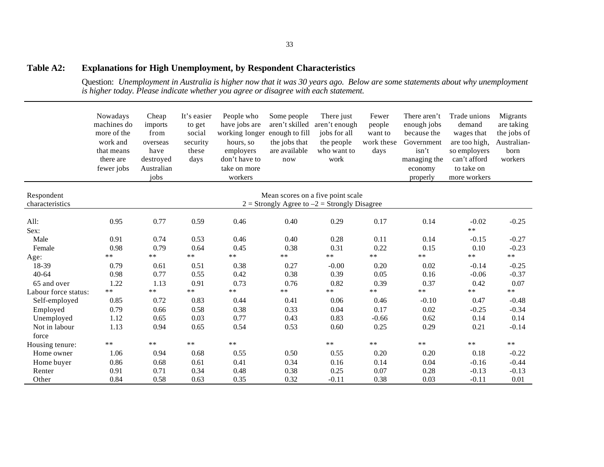#### **Table A2: Explanations for High Unemployment, by Respondent Characteristics**

Question: *Unemployment in Australia is higher now that it was 30 years ago. Below are some statements about why unemployment is higher today. Please indicate whether you agree or disagree with each statement.*

|                      | Nowadays<br>machines do<br>more of the<br>work and<br>that means<br>there are<br>fewer jobs | Cheap<br>imports<br>from<br>overseas<br>have<br>destroyed<br>Australian<br>jobs | It's easier<br>to get<br>social<br>security<br>these<br>days | People who<br>have jobs are<br>working longer<br>hours, so<br>employers<br>don't have to<br>take on more<br>workers | Some people<br>aren't skilled<br>enough to fill<br>the jobs that<br>are available<br>now | There just<br>aren't enough<br>jobs for all<br>the people<br>who want to<br>work | Fewer<br>people<br>want to<br>work these<br>days | There aren't<br>enough jobs<br>because the<br>Government<br>isn't<br>managing the<br>economy<br>properly | Trade unions<br>demand<br>wages that<br>are too high,<br>so employers<br>can't afford<br>to take on<br>more workers | Migrants<br>are taking<br>the jobs of<br>Australian-<br>born<br>workers |
|----------------------|---------------------------------------------------------------------------------------------|---------------------------------------------------------------------------------|--------------------------------------------------------------|---------------------------------------------------------------------------------------------------------------------|------------------------------------------------------------------------------------------|----------------------------------------------------------------------------------|--------------------------------------------------|----------------------------------------------------------------------------------------------------------|---------------------------------------------------------------------------------------------------------------------|-------------------------------------------------------------------------|
| Respondent           |                                                                                             |                                                                                 |                                                              |                                                                                                                     |                                                                                          | Mean scores on a five point scale                                                |                                                  |                                                                                                          |                                                                                                                     |                                                                         |
| characteristics      |                                                                                             |                                                                                 |                                                              |                                                                                                                     |                                                                                          | $2 =$ Strongly Agree to $-2 =$ Strongly Disagree                                 |                                                  |                                                                                                          |                                                                                                                     |                                                                         |
| All:<br>Sex:         | 0.95                                                                                        | 0.77                                                                            | 0.59                                                         | 0.46                                                                                                                | 0.40                                                                                     | 0.29                                                                             | 0.17                                             | 0.14                                                                                                     | $-0.02$<br>$***$                                                                                                    | $-0.25$                                                                 |
| Male<br>Female       | 0.91<br>0.98                                                                                | 0.74<br>0.79                                                                    | 0.53<br>0.64                                                 | 0.46<br>0.45                                                                                                        | 0.40<br>0.38                                                                             | 0.28<br>0.31                                                                     | 0.11<br>0.22                                     | 0.14<br>0.15                                                                                             | $-0.15$<br>0.10                                                                                                     | $-0.27$<br>$-0.23$                                                      |
| Age:                 | $* *$                                                                                       | $***$                                                                           | $\ast\ast$                                                   | $**$                                                                                                                | $***$                                                                                    | $***$                                                                            | $***$                                            | $\ast\ast$                                                                                               | $***$                                                                                                               | $\ast\ast$                                                              |
| 18-39                | 0.79                                                                                        | 0.61                                                                            | 0.51                                                         | 0.38                                                                                                                | 0.27                                                                                     | $-0.00$                                                                          | 0.20                                             | 0.02                                                                                                     | $-0.14$                                                                                                             | $-0.25$                                                                 |
| $40 - 64$            | 0.98                                                                                        | 0.77                                                                            | 0.55                                                         | 0.42                                                                                                                | 0.38                                                                                     | 0.39                                                                             | 0.05                                             | 0.16                                                                                                     | $-0.06$                                                                                                             | $-0.37$                                                                 |
| 65 and over          | 1.22                                                                                        | 1.13                                                                            | 0.91                                                         | 0.73                                                                                                                | 0.76                                                                                     | 0.82                                                                             | 0.39                                             | 0.37                                                                                                     | 0.42                                                                                                                | 0.07                                                                    |
| Labour force status: | $**$                                                                                        | $**$                                                                            | $***$                                                        | $**$                                                                                                                | $***$                                                                                    | $**$                                                                             | $***$                                            | $**$                                                                                                     | $***$                                                                                                               | $\ast\ast$                                                              |
| Self-employed        | 0.85                                                                                        | 0.72                                                                            | 0.83                                                         | 0.44                                                                                                                | 0.41                                                                                     | 0.06                                                                             | 0.46                                             | $-0.10$                                                                                                  | 0.47                                                                                                                | $-0.48$                                                                 |
| Employed             | 0.79                                                                                        | 0.66                                                                            | 0.58                                                         | 0.38                                                                                                                | 0.33                                                                                     | 0.04                                                                             | 0.17                                             | 0.02                                                                                                     | $-0.25$                                                                                                             | $-0.34$                                                                 |
| Unemployed           | 1.12                                                                                        | 0.65                                                                            | 0.03                                                         | 0.77                                                                                                                | 0.43                                                                                     | 0.83                                                                             | $-0.66$                                          | 0.62                                                                                                     | 0.14                                                                                                                | 0.14                                                                    |
| Not in labour        | 1.13                                                                                        | 0.94                                                                            | 0.65                                                         | 0.54                                                                                                                | 0.53                                                                                     | 0.60                                                                             | 0.25                                             | 0.29                                                                                                     | 0.21                                                                                                                | $-0.14$                                                                 |
| force                |                                                                                             |                                                                                 |                                                              |                                                                                                                     |                                                                                          |                                                                                  |                                                  |                                                                                                          |                                                                                                                     |                                                                         |
| Housing tenure:      | $* *$                                                                                       | $***$                                                                           | $**$                                                         | $**$                                                                                                                |                                                                                          | $**$                                                                             | $***$                                            | $\ast\ast$                                                                                               | $**$                                                                                                                | $**$                                                                    |
| Home owner           | 1.06                                                                                        | 0.94                                                                            | 0.68                                                         | 0.55                                                                                                                | 0.50                                                                                     | 0.55                                                                             | 0.20                                             | 0.20                                                                                                     | 0.18                                                                                                                | $-0.22$                                                                 |
| Home buyer           | 0.86                                                                                        | 0.68                                                                            | 0.61                                                         | 0.41                                                                                                                | 0.34                                                                                     | 0.16                                                                             | 0.14                                             | 0.04                                                                                                     | $-0.16$                                                                                                             | $-0.44$                                                                 |
| Renter               | 0.91                                                                                        | 0.71                                                                            | 0.34                                                         | 0.48                                                                                                                | 0.38                                                                                     | 0.25                                                                             | 0.07                                             | 0.28                                                                                                     | $-0.13$                                                                                                             | $-0.13$                                                                 |
| Other                | 0.84                                                                                        | 0.58                                                                            | 0.63                                                         | 0.35                                                                                                                | 0.32                                                                                     | $-0.11$                                                                          | 0.38                                             | 0.03                                                                                                     | $-0.11$                                                                                                             | 0.01                                                                    |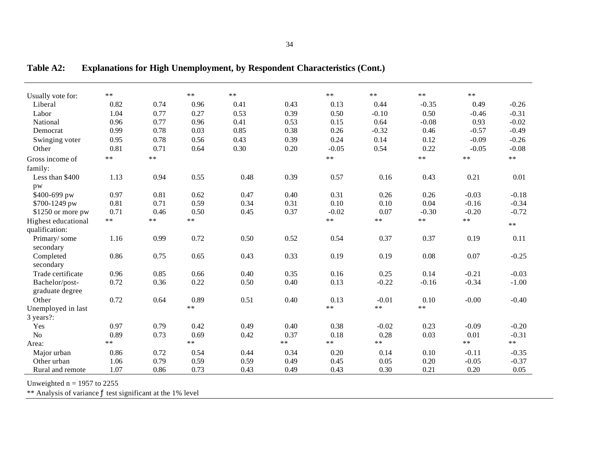| Usually vote for:                 | $**$ |       | $***$ | $***$ |      | **      | $***$   | $***$   | $***$   |         |
|-----------------------------------|------|-------|-------|-------|------|---------|---------|---------|---------|---------|
| Liberal                           | 0.82 | 0.74  | 0.96  | 0.41  | 0.43 | 0.13    | 0.44    | $-0.35$ | 0.49    | $-0.26$ |
| Labor                             | 1.04 | 0.77  | 0.27  | 0.53  | 0.39 | 0.50    | $-0.10$ | 0.50    | $-0.46$ | $-0.31$ |
| National                          | 0.96 | 0.77  | 0.96  | 0.41  | 0.53 | 0.15    | 0.64    | $-0.08$ | 0.93    | $-0.02$ |
| Democrat                          | 0.99 | 0.78  | 0.03  | 0.85  | 0.38 | 0.26    | $-0.32$ | 0.46    | $-0.57$ | $-0.49$ |
| Swinging voter                    | 0.95 | 0.78  | 0.56  | 0.43  | 0.39 | 0.24    | 0.14    | 0.12    | $-0.09$ | $-0.26$ |
| Other                             | 0.81 | 0.71  | 0.64  | 0.30  | 0.20 | $-0.05$ | 0.54    | 0.22    | $-0.05$ | $-0.08$ |
| Gross income of                   | **   | $* *$ |       |       |      | $**$    |         | $**$    | $* *$   | $**$    |
| family:                           |      |       |       |       |      |         |         |         |         |         |
| Less than \$400                   | 1.13 | 0.94  | 0.55  | 0.48  | 0.39 | 0.57    | 0.16    | 0.43    | 0.21    | 0.01    |
| pw                                |      |       |       |       |      |         |         |         |         |         |
| \$400-699 pw                      | 0.97 | 0.81  | 0.62  | 0.47  | 0.40 | 0.31    | 0.26    | 0.26    | $-0.03$ | $-0.18$ |
| \$700-1249 pw                     | 0.81 | 0.71  | 0.59  | 0.34  | 0.31 | 0.10    | 0.10    | 0.04    | $-0.16$ | $-0.34$ |
| \$1250 or more pw                 | 0.71 | 0.46  | 0.50  | 0.45  | 0.37 | $-0.02$ | 0.07    | $-0.30$ | $-0.20$ | $-0.72$ |
| Highest educational               | **   | $* *$ | $***$ |       |      | $**$    | $***$   | $**$    | $* *$   | $**$    |
| qualification:                    |      |       |       |       |      |         |         |         |         |         |
| Primary/some<br>secondary         | 1.16 | 0.99  | 0.72  | 0.50  | 0.52 | 0.54    | 0.37    | 0.37    | 0.19    | 0.11    |
| Completed<br>secondary            | 0.86 | 0.75  | 0.65  | 0.43  | 0.33 | 0.19    | 0.19    | 0.08    | 0.07    | $-0.25$ |
| Trade certificate                 | 0.96 | 0.85  | 0.66  | 0.40  | 0.35 | 0.16    | 0.25    | 0.14    | $-0.21$ | $-0.03$ |
| Bachelor/post-<br>graduate degree | 0.72 | 0.36  | 0.22  | 0.50  | 0.40 | 0.13    | $-0.22$ | $-0.16$ | $-0.34$ | $-1.00$ |
| Other                             | 0.72 | 0.64  | 0.89  | 0.51  | 0.40 | 0.13    | $-0.01$ | 0.10    | $-0.00$ | $-0.40$ |
| Unemployed in last                |      |       | $**$  |       |      | $**$    | $**$    | $***$   |         |         |
| 3 years?:                         |      |       |       |       |      |         |         |         |         |         |
| Yes                               | 0.97 | 0.79  | 0.42  | 0.49  | 0.40 | 0.38    | $-0.02$ | 0.23    | $-0.09$ | $-0.20$ |
| No                                | 0.89 | 0.73  | 0.69  | 0.42  | 0.37 | 0.18    | 0.28    | 0.03    | 0.01    | $-0.31$ |
| Area:                             | **   |       | **    |       | $**$ | $**$    | $***$   |         | **      | $**$    |
| Major urban                       | 0.86 | 0.72  | 0.54  | 0.44  | 0.34 | 0.20    | 0.14    | 0.10    | $-0.11$ | $-0.35$ |
| Other urban                       | 1.06 | 0.79  | 0.59  | 0.59  | 0.49 | 0.45    | 0.05    | 0.20    | $-0.05$ | $-0.37$ |
| Rural and remote                  | 1.07 | 0.86  | 0.73  | 0.43  | 0.49 | 0.43    | 0.30    | 0.21    | 0.20    | 0.05    |

**Table A2: Explanations for High Unemployment, by Respondent Characteristics (Cont.)**

Unweighted  $n = 1957$  to 2255

\*\* Analysis of variance ƒ test significant at the 1% level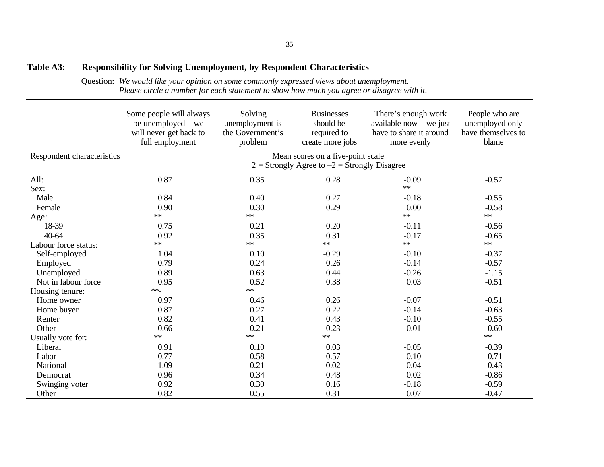#### **Table A3: Responsibility for Solving Unemployment, by Respondent Characteristics**

Question: *We would like your opinion on some commonly expressed views about unemployment. Please circle a number for each statement to show how much you agree or disagree with it*.

|                            | Some people will always<br>be unemployed $-$ we<br>will never get back to<br>full employment | Solving<br>unemployment is<br>the Government's<br>problem | <b>Businesses</b><br>should be<br>required to<br>create more jobs                     | There's enough work<br>available now $-$ we just<br>have to share it around<br>more evenly | People who are<br>unemployed only<br>have themselves to<br>blame |
|----------------------------|----------------------------------------------------------------------------------------------|-----------------------------------------------------------|---------------------------------------------------------------------------------------|--------------------------------------------------------------------------------------------|------------------------------------------------------------------|
| Respondent characteristics |                                                                                              |                                                           | Mean scores on a five-point scale<br>$2 =$ Strongly Agree to $-2 =$ Strongly Disagree |                                                                                            |                                                                  |
| All:<br>Sex:               | 0.87                                                                                         | 0.35                                                      | 0.28                                                                                  | $-0.09$<br>**                                                                              | $-0.57$                                                          |
| Male                       | 0.84                                                                                         | 0.40                                                      | 0.27                                                                                  | $-0.18$                                                                                    | $-0.55$                                                          |
| Female                     | 0.90                                                                                         | 0.30                                                      | 0.29                                                                                  | 0.00                                                                                       | $-0.58$                                                          |
| Age:                       | **                                                                                           | **                                                        |                                                                                       | $**$                                                                                       | **                                                               |
| 18-39                      | 0.75                                                                                         | 0.21                                                      | 0.20                                                                                  | $-0.11$                                                                                    | $-0.56$                                                          |
| 40-64                      | 0.92                                                                                         | 0.35                                                      | 0.31                                                                                  | $-0.17$                                                                                    | $-0.65$                                                          |
| Labour force status:       | **                                                                                           | $\ast\ast$                                                | $\ast\ast$                                                                            | **                                                                                         | $**$                                                             |
| Self-employed              | 1.04                                                                                         | 0.10                                                      | $-0.29$                                                                               | $-0.10$                                                                                    | $-0.37$                                                          |
| Employed                   | 0.79                                                                                         | 0.24                                                      | 0.26                                                                                  | $-0.14$                                                                                    | $-0.57$                                                          |
| Unemployed                 | 0.89                                                                                         | 0.63                                                      | 0.44                                                                                  | $-0.26$                                                                                    | $-1.15$                                                          |
| Not in labour force        | 0.95                                                                                         | 0.52                                                      | 0.38                                                                                  | 0.03                                                                                       | $-0.51$                                                          |
| Housing tenure:            | $**$                                                                                         | $\ast\ast$                                                |                                                                                       |                                                                                            |                                                                  |
| Home owner                 | 0.97                                                                                         | 0.46                                                      | 0.26                                                                                  | $-0.07$                                                                                    | $-0.51$                                                          |
| Home buyer                 | 0.87                                                                                         | 0.27                                                      | 0.22                                                                                  | $-0.14$                                                                                    | $-0.63$                                                          |
| Renter                     | 0.82                                                                                         | 0.41                                                      | 0.43                                                                                  | $-0.10$                                                                                    | $-0.55$                                                          |
| Other                      | 0.66                                                                                         | 0.21                                                      | 0.23                                                                                  | 0.01                                                                                       | $-0.60$                                                          |
| Usually vote for:          | $**$                                                                                         | $\ast\ast$                                                | $\ast\ast$                                                                            |                                                                                            | $\ast\ast$                                                       |
| Liberal                    | 0.91                                                                                         | 0.10                                                      | 0.03                                                                                  | $-0.05$                                                                                    | $-0.39$                                                          |
| Labor                      | 0.77                                                                                         | 0.58                                                      | 0.57                                                                                  | $-0.10$                                                                                    | $-0.71$                                                          |
| National                   | 1.09                                                                                         | 0.21                                                      | $-0.02$                                                                               | $-0.04$                                                                                    | $-0.43$                                                          |
| Democrat                   | 0.96                                                                                         | 0.34                                                      | 0.48                                                                                  | 0.02                                                                                       | $-0.86$                                                          |
| Swinging voter             | 0.92                                                                                         | 0.30                                                      | 0.16                                                                                  | $-0.18$                                                                                    | $-0.59$                                                          |
| Other                      | 0.82                                                                                         | 0.55                                                      | 0.31                                                                                  | 0.07                                                                                       | $-0.47$                                                          |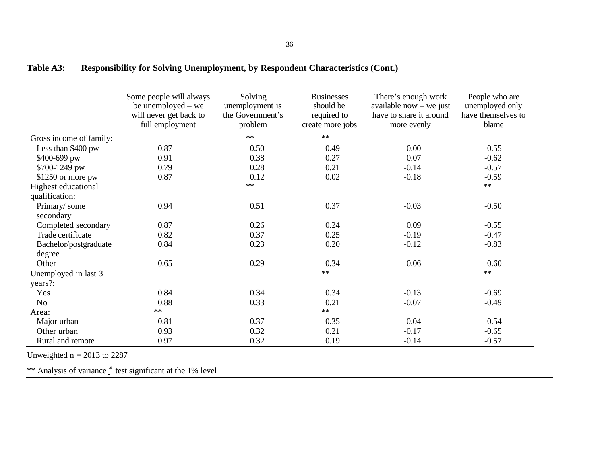|                         | Some people will always<br>be unemployed – we<br>will never get back to<br>full employment | Solving<br>unemployment is<br>the Government's<br>problem | <b>Businesses</b><br>should be<br>required to<br>create more jobs | There's enough work<br>available now $-$ we just<br>have to share it around<br>more evenly | People who are<br>unemployed only<br>have themselves to<br>blame |
|-------------------------|--------------------------------------------------------------------------------------------|-----------------------------------------------------------|-------------------------------------------------------------------|--------------------------------------------------------------------------------------------|------------------------------------------------------------------|
| Gross income of family: |                                                                                            | $**$                                                      | $**$                                                              |                                                                                            |                                                                  |
| Less than \$400 pw      | 0.87                                                                                       | 0.50                                                      | 0.49                                                              | 0.00                                                                                       | $-0.55$                                                          |
| \$400-699 pw            | 0.91                                                                                       | 0.38                                                      | 0.27                                                              | 0.07                                                                                       | $-0.62$                                                          |
| \$700-1249 pw           | 0.79                                                                                       | 0.28                                                      | 0.21                                                              | $-0.14$                                                                                    | $-0.57$                                                          |
| $$1250$ or more pw      | 0.87                                                                                       | 0.12                                                      | 0.02                                                              | $-0.18$                                                                                    | $-0.59$                                                          |
| Highest educational     |                                                                                            | $**$                                                      |                                                                   |                                                                                            | $**$                                                             |
| qualification:          |                                                                                            |                                                           |                                                                   |                                                                                            |                                                                  |
| Primary/some            | 0.94                                                                                       | 0.51                                                      | 0.37                                                              | $-0.03$                                                                                    | $-0.50$                                                          |
| secondary               |                                                                                            |                                                           |                                                                   |                                                                                            |                                                                  |
| Completed secondary     | 0.87                                                                                       | 0.26                                                      | 0.24                                                              | 0.09                                                                                       | $-0.55$                                                          |
| Trade certificate       | 0.82                                                                                       | 0.37                                                      | 0.25                                                              | $-0.19$                                                                                    | $-0.47$                                                          |
| Bachelor/postgraduate   | 0.84                                                                                       | 0.23                                                      | 0.20                                                              | $-0.12$                                                                                    | $-0.83$                                                          |
| degree                  |                                                                                            |                                                           |                                                                   |                                                                                            |                                                                  |
| Other                   | 0.65                                                                                       | 0.29                                                      | 0.34                                                              | 0.06                                                                                       | $-0.60$                                                          |
| Unemployed in last 3    |                                                                                            |                                                           | $\ast\ast$                                                        |                                                                                            | $**$                                                             |
| years?:                 |                                                                                            |                                                           |                                                                   |                                                                                            |                                                                  |
| Yes                     | 0.84                                                                                       | 0.34                                                      | 0.34                                                              | $-0.13$                                                                                    | $-0.69$                                                          |
| N <sub>o</sub>          | 0.88                                                                                       | 0.33                                                      | 0.21                                                              | $-0.07$                                                                                    | $-0.49$                                                          |
| Area:                   | $**$                                                                                       |                                                           | $\ast\ast$                                                        |                                                                                            |                                                                  |
| Major urban             | 0.81                                                                                       | 0.37                                                      | 0.35                                                              | $-0.04$                                                                                    | $-0.54$                                                          |
| Other urban             | 0.93                                                                                       | 0.32                                                      | 0.21                                                              | $-0.17$                                                                                    | $-0.65$                                                          |
| Rural and remote        | 0.97                                                                                       | 0.32                                                      | 0.19                                                              | $-0.14$                                                                                    | $-0.57$                                                          |

| <b>Table A3:</b> | <b>Responsibility for Solving Unemployment, by Respondent Characteristics (Cont.)</b> |  |
|------------------|---------------------------------------------------------------------------------------|--|
|------------------|---------------------------------------------------------------------------------------|--|

Unweighted  $n = 2013$  to 2287

\*\* Analysis of variance  $f$  test significant at the 1% level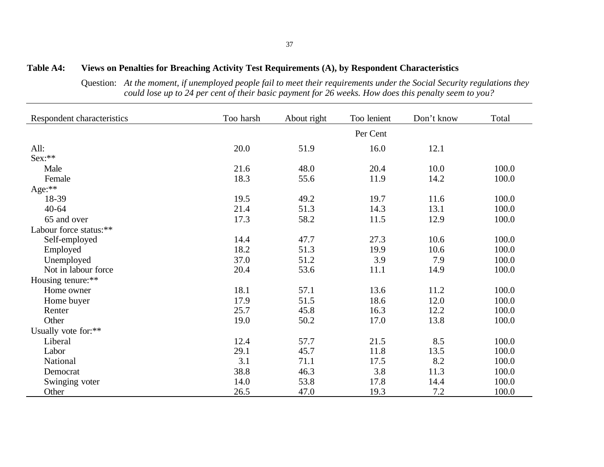#### **Table A4: Views on Penalties for Breaching Activity Test Requirements (A), by Respondent Characteristics**

Question: *At the moment, if unemployed people fail to meet their requirements under the Social Security regulations they could lose up to 24 per cent of their basic payment for 26 weeks. How does this penalty seem to you?*

| Respondent characteristics | Too harsh | About right | Too lenient | Don't know | Total |
|----------------------------|-----------|-------------|-------------|------------|-------|
|                            |           |             | Per Cent    |            |       |
| All:                       | 20.0      | 51.9        | 16.0        | 12.1       |       |
| Sex:**                     |           |             |             |            |       |
| Male                       | 21.6      | 48.0        | 20.4        | 10.0       | 100.0 |
| Female                     | 18.3      | 55.6        | 11.9        | 14.2       | 100.0 |
| Age:**                     |           |             |             |            |       |
| 18-39                      | 19.5      | 49.2        | 19.7        | 11.6       | 100.0 |
| $40 - 64$                  | 21.4      | 51.3        | 14.3        | 13.1       | 100.0 |
| 65 and over                | 17.3      | 58.2        | 11.5        | 12.9       | 100.0 |
| Labour force status:**     |           |             |             |            |       |
| Self-employed              | 14.4      | 47.7        | 27.3        | 10.6       | 100.0 |
| Employed                   | 18.2      | 51.3        | 19.9        | 10.6       | 100.0 |
| Unemployed                 | 37.0      | 51.2        | 3.9         | 7.9        | 100.0 |
| Not in labour force        | 20.4      | 53.6        | 11.1        | 14.9       | 100.0 |
| Housing tenure:**          |           |             |             |            |       |
| Home owner                 | 18.1      | 57.1        | 13.6        | 11.2       | 100.0 |
| Home buyer                 | 17.9      | 51.5        | 18.6        | 12.0       | 100.0 |
| Renter                     | 25.7      | 45.8        | 16.3        | 12.2       | 100.0 |
| Other                      | 19.0      | 50.2        | 17.0        | 13.8       | 100.0 |
| Usually vote for:**        |           |             |             |            |       |
| Liberal                    | 12.4      | 57.7        | 21.5        | 8.5        | 100.0 |
| Labor                      | 29.1      | 45.7        | 11.8        | 13.5       | 100.0 |
| National                   | 3.1       | 71.1        | 17.5        | 8.2        | 100.0 |
| Democrat                   | 38.8      | 46.3        | 3.8         | 11.3       | 100.0 |
| Swinging voter             | 14.0      | 53.8        | 17.8        | 14.4       | 100.0 |
| Other                      | 26.5      | 47.0        | 19.3        | 7.2        | 100.0 |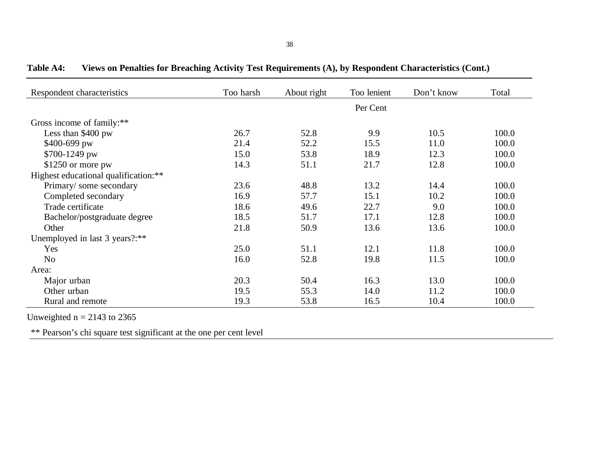| Respondent characteristics           | Too harsh | About right | Too lenient | Don't know | Total |
|--------------------------------------|-----------|-------------|-------------|------------|-------|
|                                      |           |             | Per Cent    |            |       |
| Gross income of family:**            |           |             |             |            |       |
| Less than $$400$ pw                  | 26.7      | 52.8        | 9.9         | 10.5       | 100.0 |
| \$400-699 pw                         | 21.4      | 52.2        | 15.5        | 11.0       | 100.0 |
| \$700-1249 pw                        | 15.0      | 53.8        | 18.9        | 12.3       | 100.0 |
| $$1250$ or more pw                   | 14.3      | 51.1        | 21.7        | 12.8       | 100.0 |
| Highest educational qualification:** |           |             |             |            |       |
| Primary/some secondary               | 23.6      | 48.8        | 13.2        | 14.4       | 100.0 |
| Completed secondary                  | 16.9      | 57.7        | 15.1        | 10.2       | 100.0 |
| Trade certificate                    | 18.6      | 49.6        | 22.7        | 9.0        | 100.0 |
| Bachelor/postgraduate degree         | 18.5      | 51.7        | 17.1        | 12.8       | 100.0 |
| Other                                | 21.8      | 50.9        | 13.6        | 13.6       | 100.0 |
| Unemployed in last 3 years?:**       |           |             |             |            |       |
| Yes                                  | 25.0      | 51.1        | 12.1        | 11.8       | 100.0 |
| N <sub>o</sub>                       | 16.0      | 52.8        | 19.8        | 11.5       | 100.0 |
| Area:                                |           |             |             |            |       |
| Major urban                          | 20.3      | 50.4        | 16.3        | 13.0       | 100.0 |
| Other urban                          | 19.5      | 55.3        | 14.0        | 11.2       | 100.0 |
| Rural and remote                     | 19.3      | 53.8        | 16.5        | 10.4       | 100.0 |

**Table A4: Views on Penalties for Breaching Activity Test Requirements (A), by Respondent Characteristics (Cont.)**

Unweighted  $n = 2143$  to 2365

\*\* Pearson's chi square test significant at the one per cent level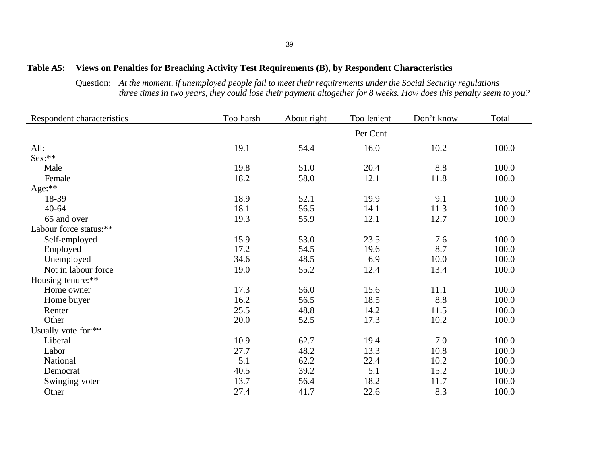#### **Table A5: Views on Penalties for Breaching Activity Test Requirements (B), by Respondent Characteristics**

Question: *At the moment, if unemployed people fail to meet their requirements under the Social Security regulations three times in two years, they could lose their payment altogether for 8 weeks. How does this penalty seem to you?*

| Respondent characteristics | Too harsh | About right | Too lenient | Don't know | Total |
|----------------------------|-----------|-------------|-------------|------------|-------|
|                            |           |             | Per Cent    |            |       |
| All:                       | 19.1      | 54.4        | 16.0        | 10.2       | 100.0 |
| Sex:**                     |           |             |             |            |       |
| Male                       | 19.8      | 51.0        | 20.4        | 8.8        | 100.0 |
| Female                     | 18.2      | 58.0        | 12.1        | 11.8       | 100.0 |
| Age:**                     |           |             |             |            |       |
| 18-39                      | 18.9      | 52.1        | 19.9        | 9.1        | 100.0 |
| $40 - 64$                  | 18.1      | 56.5        | 14.1        | 11.3       | 100.0 |
| 65 and over                | 19.3      | 55.9        | 12.1        | 12.7       | 100.0 |
| Labour force status:**     |           |             |             |            |       |
| Self-employed              | 15.9      | 53.0        | 23.5        | 7.6        | 100.0 |
| Employed                   | 17.2      | 54.5        | 19.6        | 8.7        | 100.0 |
| Unemployed                 | 34.6      | 48.5        | 6.9         | 10.0       | 100.0 |
| Not in labour force        | 19.0      | 55.2        | 12.4        | 13.4       | 100.0 |
| Housing tenure:**          |           |             |             |            |       |
| Home owner                 | 17.3      | 56.0        | 15.6        | 11.1       | 100.0 |
| Home buyer                 | 16.2      | 56.5        | 18.5        | 8.8        | 100.0 |
| Renter                     | 25.5      | 48.8        | 14.2        | 11.5       | 100.0 |
| Other                      | 20.0      | 52.5        | 17.3        | 10.2       | 100.0 |
| Usually vote for:**        |           |             |             |            |       |
| Liberal                    | 10.9      | 62.7        | 19.4        | 7.0        | 100.0 |
| Labor                      | 27.7      | 48.2        | 13.3        | 10.8       | 100.0 |
| National                   | 5.1       | 62.2        | 22.4        | 10.2       | 100.0 |
| Democrat                   | 40.5      | 39.2        | 5.1         | 15.2       | 100.0 |
| Swinging voter             | 13.7      | 56.4        | 18.2        | 11.7       | 100.0 |
| Other                      | 27.4      | 41.7        | 22.6        | 8.3        | 100.0 |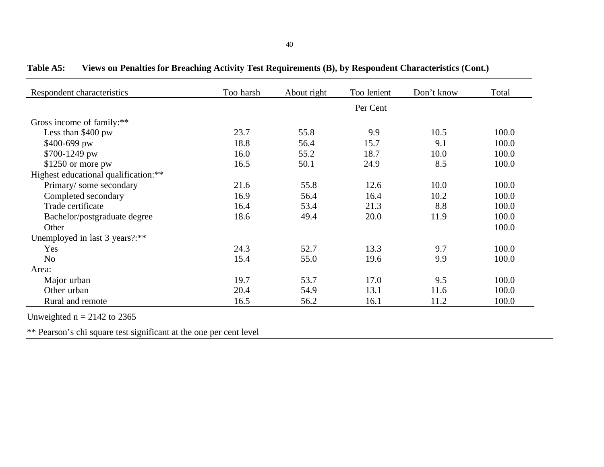| Respondent characteristics           | Too harsh | About right | Too lenient | Don't know | Total |
|--------------------------------------|-----------|-------------|-------------|------------|-------|
|                                      |           |             | Per Cent    |            |       |
| Gross income of family:**            |           |             |             |            |       |
| Less than \$400 pw                   | 23.7      | 55.8        | 9.9         | 10.5       | 100.0 |
| \$400-699 pw                         | 18.8      | 56.4        | 15.7        | 9.1        | 100.0 |
| \$700-1249 pw                        | 16.0      | 55.2        | 18.7        | 10.0       | 100.0 |
| $$1250$ or more pw                   | 16.5      | 50.1        | 24.9        | 8.5        | 100.0 |
| Highest educational qualification:** |           |             |             |            |       |
| Primary/some secondary               | 21.6      | 55.8        | 12.6        | 10.0       | 100.0 |
| Completed secondary                  | 16.9      | 56.4        | 16.4        | 10.2       | 100.0 |
| Trade certificate                    | 16.4      | 53.4        | 21.3        | 8.8        | 100.0 |
| Bachelor/postgraduate degree         | 18.6      | 49.4        | 20.0        | 11.9       | 100.0 |
| Other                                |           |             |             |            | 100.0 |
| Unemployed in last 3 years?:**       |           |             |             |            |       |
| Yes                                  | 24.3      | 52.7        | 13.3        | 9.7        | 100.0 |
| N <sub>o</sub>                       | 15.4      | 55.0        | 19.6        | 9.9        | 100.0 |
| Area:                                |           |             |             |            |       |
| Major urban                          | 19.7      | 53.7        | 17.0        | 9.5        | 100.0 |
| Other urban                          | 20.4      | 54.9        | 13.1        | 11.6       | 100.0 |
| Rural and remote                     | 16.5      | 56.2        | 16.1        | 11.2       | 100.0 |

**Table A5: Views on Penalties for Breaching Activity Test Requirements (B), by Respondent Characteristics (Cont.)**

Unweighted  $n = 2142$  to 2365

\*\* Pearson's chi square test significant at the one per cent level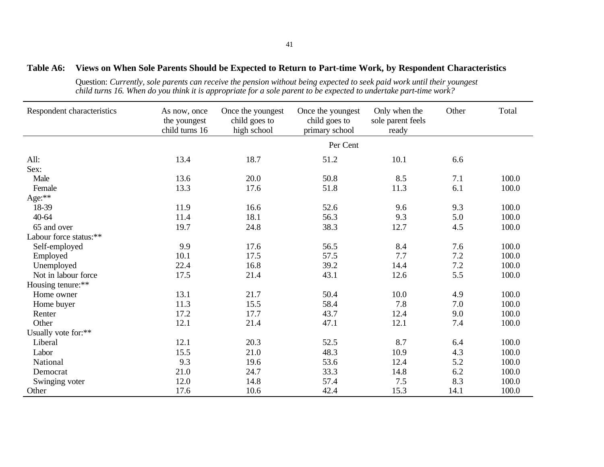#### **Table A6: Views on When Sole Parents Should be Expected to Return to Part-time Work, by Respondent Characteristics**

Question: *Currently, sole parents can receive the pension without being expected to seek paid work until their youngest child turns 16. When do you think it is appropriate for a sole parent to be expected to undertake part-time work?*

| Respondent characteristics | As now, once<br>the youngest<br>child turns 16 | Once the youngest<br>child goes to<br>high school | Once the youngest<br>child goes to<br>primary school | Only when the<br>sole parent feels<br>ready | Other | Total |
|----------------------------|------------------------------------------------|---------------------------------------------------|------------------------------------------------------|---------------------------------------------|-------|-------|
|                            |                                                |                                                   | Per Cent                                             |                                             |       |       |
| All:                       | 13.4                                           | 18.7                                              | 51.2                                                 | 10.1                                        | 6.6   |       |
| Sex:                       |                                                |                                                   |                                                      |                                             |       |       |
| Male                       | 13.6                                           | 20.0                                              | 50.8                                                 | 8.5                                         | 7.1   | 100.0 |
| Female                     | 13.3                                           | 17.6                                              | 51.8                                                 | 11.3                                        | 6.1   | 100.0 |
| Age:**                     |                                                |                                                   |                                                      |                                             |       |       |
| 18-39                      | 11.9                                           | 16.6                                              | 52.6                                                 | 9.6                                         | 9.3   | 100.0 |
| $40 - 64$                  | 11.4                                           | 18.1                                              | 56.3                                                 | 9.3                                         | 5.0   | 100.0 |
| 65 and over                | 19.7                                           | 24.8                                              | 38.3                                                 | 12.7                                        | 4.5   | 100.0 |
| Labour force status:**     |                                                |                                                   |                                                      |                                             |       |       |
| Self-employed              | 9.9                                            | 17.6                                              | 56.5                                                 | 8.4                                         | 7.6   | 100.0 |
| Employed                   | 10.1                                           | 17.5                                              | 57.5                                                 | 7.7                                         | 7.2   | 100.0 |
| Unemployed                 | 22.4                                           | 16.8                                              | 39.2                                                 | 14.4                                        | 7.2   | 100.0 |
| Not in labour force        | 17.5                                           | 21.4                                              | 43.1                                                 | 12.6                                        | 5.5   | 100.0 |
| Housing tenure:**          |                                                |                                                   |                                                      |                                             |       |       |
| Home owner                 | 13.1                                           | 21.7                                              | 50.4                                                 | 10.0                                        | 4.9   | 100.0 |
| Home buyer                 | 11.3                                           | 15.5                                              | 58.4                                                 | 7.8                                         | 7.0   | 100.0 |
| Renter                     | 17.2                                           | 17.7                                              | 43.7                                                 | 12.4                                        | 9.0   | 100.0 |
| Other                      | 12.1                                           | 21.4                                              | 47.1                                                 | 12.1                                        | 7.4   | 100.0 |
| Usually vote for:**        |                                                |                                                   |                                                      |                                             |       |       |
| Liberal                    | 12.1                                           | 20.3                                              | 52.5                                                 | 8.7                                         | 6.4   | 100.0 |
| Labor                      | 15.5                                           | 21.0                                              | 48.3                                                 | 10.9                                        | 4.3   | 100.0 |
| National                   | 9.3                                            | 19.6                                              | 53.6                                                 | 12.4                                        | 5.2   | 100.0 |
| Democrat                   | 21.0                                           | 24.7                                              | 33.3                                                 | 14.8                                        | 6.2   | 100.0 |
| Swinging voter             | 12.0                                           | 14.8                                              | 57.4                                                 | 7.5                                         | 8.3   | 100.0 |
| Other                      | 17.6                                           | 10.6                                              | 42.4                                                 | 15.3                                        | 14.1  | 100.0 |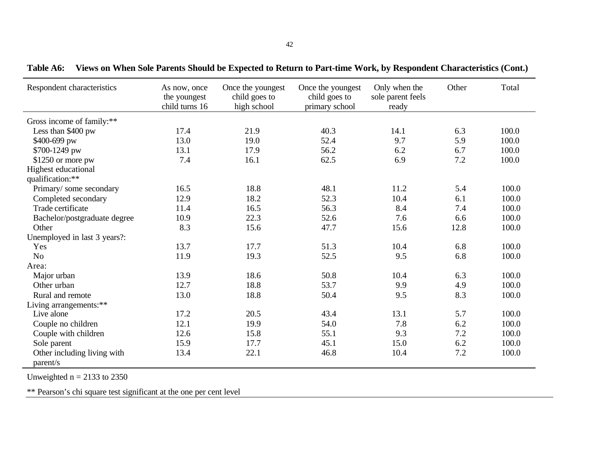| Respondent characteristics              | As now, once<br>the youngest<br>child turns 16 | Once the youngest<br>child goes to<br>high school | Once the youngest<br>child goes to<br>primary school | Only when the<br>sole parent feels<br>ready | Other | Total |
|-----------------------------------------|------------------------------------------------|---------------------------------------------------|------------------------------------------------------|---------------------------------------------|-------|-------|
| Gross income of family:**               |                                                |                                                   |                                                      |                                             |       |       |
| Less than \$400 pw                      | 17.4                                           | 21.9                                              | 40.3                                                 | 14.1                                        | 6.3   | 100.0 |
| \$400-699 pw                            | 13.0                                           | 19.0                                              | 52.4                                                 | 9.7                                         | 5.9   | 100.0 |
| \$700-1249 pw                           | 13.1                                           | 17.9                                              | 56.2                                                 | 6.2                                         | 6.7   | 100.0 |
| $$1250$ or more pw                      | 7.4                                            | 16.1                                              | 62.5                                                 | 6.9                                         | 7.2   | 100.0 |
| Highest educational                     |                                                |                                                   |                                                      |                                             |       |       |
| qualification:**                        |                                                |                                                   |                                                      |                                             |       |       |
| Primary/some secondary                  | 16.5                                           | 18.8                                              | 48.1                                                 | 11.2                                        | 5.4   | 100.0 |
| Completed secondary                     | 12.9                                           | 18.2                                              | 52.3                                                 | 10.4                                        | 6.1   | 100.0 |
| Trade certificate                       | 11.4                                           | 16.5                                              | 56.3                                                 | 8.4                                         | 7.4   | 100.0 |
| Bachelor/postgraduate degree            | 10.9                                           | 22.3                                              | 52.6                                                 | 7.6                                         | 6.6   | 100.0 |
| Other                                   | 8.3                                            | 15.6                                              | 47.7                                                 | 15.6                                        | 12.8  | 100.0 |
| Unemployed in last 3 years?:            |                                                |                                                   |                                                      |                                             |       |       |
| Yes                                     | 13.7                                           | 17.7                                              | 51.3                                                 | 10.4                                        | 6.8   | 100.0 |
| N <sub>o</sub>                          | 11.9                                           | 19.3                                              | 52.5                                                 | 9.5                                         | 6.8   | 100.0 |
| Area:                                   |                                                |                                                   |                                                      |                                             |       |       |
| Major urban                             | 13.9                                           | 18.6                                              | 50.8                                                 | 10.4                                        | 6.3   | 100.0 |
| Other urban                             | 12.7                                           | 18.8                                              | 53.7                                                 | 9.9                                         | 4.9   | 100.0 |
| Rural and remote                        | 13.0                                           | 18.8                                              | 50.4                                                 | 9.5                                         | 8.3   | 100.0 |
| Living arrangements:**                  |                                                |                                                   |                                                      |                                             |       |       |
| Live alone                              | 17.2                                           | 20.5                                              | 43.4                                                 | 13.1                                        | 5.7   | 100.0 |
| Couple no children                      | 12.1                                           | 19.9                                              | 54.0                                                 | 7.8                                         | 6.2   | 100.0 |
| Couple with children                    | 12.6                                           | 15.8                                              | 55.1                                                 | 9.3                                         | 7.2   | 100.0 |
| Sole parent                             | 15.9                                           | 17.7                                              | 45.1                                                 | 15.0                                        | 6.2   | 100.0 |
| Other including living with<br>parent/s | 13.4                                           | 22.1                                              | 46.8                                                 | 10.4                                        | 7.2   | 100.0 |

**Table A6: Views on When Sole Parents Should be Expected to Return to Part-time Work, by Respondent Characteristics (Cont.)**

Unweighted  $n = 2133$  to 2350

\*\* Pearson's chi square test significant at the one per cent level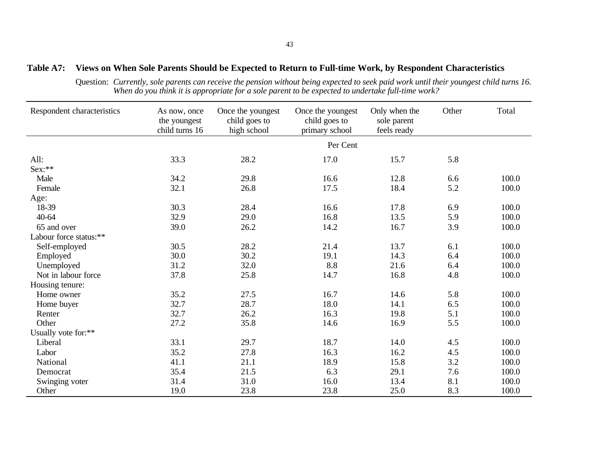#### **Table A7: Views on When Sole Parents Should be Expected to Return to Full-time Work, by Respondent Characteristics**

Question: *Currently, sole parents can receive the pension without being expected to seek paid work until their youngest child turns 16. When do you think it is appropriate for a sole parent to be expected to undertake full-time work?*

| Respondent characteristics | As now, once<br>the youngest<br>child turns 16 | Once the youngest<br>child goes to<br>high school | Once the youngest<br>child goes to<br>primary school | Only when the<br>sole parent<br>feels ready | Other | Total |
|----------------------------|------------------------------------------------|---------------------------------------------------|------------------------------------------------------|---------------------------------------------|-------|-------|
|                            |                                                |                                                   | Per Cent                                             |                                             |       |       |
| All:                       | 33.3                                           | 28.2                                              | 17.0                                                 | 15.7                                        | 5.8   |       |
| Sex:**                     |                                                |                                                   |                                                      |                                             |       |       |
| Male                       | 34.2                                           | 29.8                                              | 16.6                                                 | 12.8                                        | 6.6   | 100.0 |
| Female                     | 32.1                                           | 26.8                                              | 17.5                                                 | 18.4                                        | 5.2   | 100.0 |
| Age:                       |                                                |                                                   |                                                      |                                             |       |       |
| 18-39                      | 30.3                                           | 28.4                                              | 16.6                                                 | 17.8                                        | 6.9   | 100.0 |
| 40-64                      | 32.9                                           | 29.0                                              | 16.8                                                 | 13.5                                        | 5.9   | 100.0 |
| 65 and over                | 39.0                                           | 26.2                                              | 14.2                                                 | 16.7                                        | 3.9   | 100.0 |
| Labour force status:**     |                                                |                                                   |                                                      |                                             |       |       |
| Self-employed              | 30.5                                           | 28.2                                              | 21.4                                                 | 13.7                                        | 6.1   | 100.0 |
| Employed                   | 30.0                                           | 30.2                                              | 19.1                                                 | 14.3                                        | 6.4   | 100.0 |
| Unemployed                 | 31.2                                           | 32.0                                              | 8.8                                                  | 21.6                                        | 6.4   | 100.0 |
| Not in labour force        | 37.8                                           | 25.8                                              | 14.7                                                 | 16.8                                        | 4.8   | 100.0 |
| Housing tenure:            |                                                |                                                   |                                                      |                                             |       |       |
| Home owner                 | 35.2                                           | 27.5                                              | 16.7                                                 | 14.6                                        | 5.8   | 100.0 |
| Home buyer                 | 32.7                                           | 28.7                                              | 18.0                                                 | 14.1                                        | 6.5   | 100.0 |
| Renter                     | 32.7                                           | 26.2                                              | 16.3                                                 | 19.8                                        | 5.1   | 100.0 |
| Other                      | 27.2                                           | 35.8                                              | 14.6                                                 | 16.9                                        | 5.5   | 100.0 |
| Usually vote for:**        |                                                |                                                   |                                                      |                                             |       |       |
| Liberal                    | 33.1                                           | 29.7                                              | 18.7                                                 | 14.0                                        | 4.5   | 100.0 |
| Labor                      | 35.2                                           | 27.8                                              | 16.3                                                 | 16.2                                        | 4.5   | 100.0 |
| National                   | 41.1                                           | 21.1                                              | 18.9                                                 | 15.8                                        | 3.2   | 100.0 |
| Democrat                   | 35.4                                           | 21.5                                              | 6.3                                                  | 29.1                                        | 7.6   | 100.0 |
| Swinging voter             | 31.4                                           | 31.0                                              | 16.0                                                 | 13.4                                        | 8.1   | 100.0 |
| Other                      | 19.0                                           | 23.8                                              | 23.8                                                 | 25.0                                        | 8.3   | 100.0 |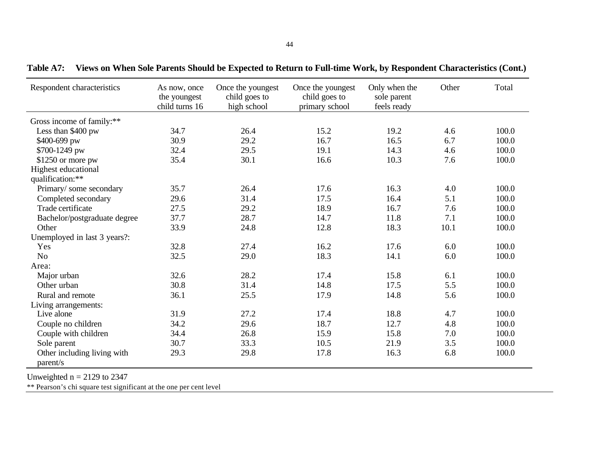| Respondent characteristics              | As now, once<br>the youngest<br>child turns 16 | Once the youngest<br>child goes to<br>high school | Once the youngest<br>child goes to<br>primary school | Only when the<br>sole parent<br>feels ready | Other | Total |
|-----------------------------------------|------------------------------------------------|---------------------------------------------------|------------------------------------------------------|---------------------------------------------|-------|-------|
| Gross income of family:**               |                                                |                                                   |                                                      |                                             |       |       |
| Less than \$400 pw                      | 34.7                                           | 26.4                                              | 15.2                                                 | 19.2                                        | 4.6   | 100.0 |
| \$400-699 pw                            | 30.9                                           | 29.2                                              | 16.7                                                 | 16.5                                        | 6.7   | 100.0 |
| \$700-1249 pw                           | 32.4                                           | 29.5                                              | 19.1                                                 | 14.3                                        | 4.6   | 100.0 |
| \$1250 or more pw                       | 35.4                                           | 30.1                                              | 16.6                                                 | 10.3                                        | 7.6   | 100.0 |
| Highest educational                     |                                                |                                                   |                                                      |                                             |       |       |
| qualification:**                        |                                                |                                                   |                                                      |                                             |       |       |
| Primary/some secondary                  | 35.7                                           | 26.4                                              | 17.6                                                 | 16.3                                        | 4.0   | 100.0 |
| Completed secondary                     | 29.6                                           | 31.4                                              | 17.5                                                 | 16.4                                        | 5.1   | 100.0 |
| Trade certificate                       | 27.5                                           | 29.2                                              | 18.9                                                 | 16.7                                        | 7.6   | 100.0 |
| Bachelor/postgraduate degree            | 37.7                                           | 28.7                                              | 14.7                                                 | 11.8                                        | 7.1   | 100.0 |
| Other                                   | 33.9                                           | 24.8                                              | 12.8                                                 | 18.3                                        | 10.1  | 100.0 |
| Unemployed in last 3 years?:            |                                                |                                                   |                                                      |                                             |       |       |
| Yes                                     | 32.8                                           | 27.4                                              | 16.2                                                 | 17.6                                        | 6.0   | 100.0 |
| N <sub>o</sub>                          | 32.5                                           | 29.0                                              | 18.3                                                 | 14.1                                        | 6.0   | 100.0 |
| Area:                                   |                                                |                                                   |                                                      |                                             |       |       |
| Major urban                             | 32.6                                           | 28.2                                              | 17.4                                                 | 15.8                                        | 6.1   | 100.0 |
| Other urban                             | 30.8                                           | 31.4                                              | 14.8                                                 | 17.5                                        | 5.5   | 100.0 |
| Rural and remote                        | 36.1                                           | 25.5                                              | 17.9                                                 | 14.8                                        | 5.6   | 100.0 |
| Living arrangements:                    |                                                |                                                   |                                                      |                                             |       |       |
| Live alone                              | 31.9                                           | 27.2                                              | 17.4                                                 | 18.8                                        | 4.7   | 100.0 |
| Couple no children                      | 34.2                                           | 29.6                                              | 18.7                                                 | 12.7                                        | 4.8   | 100.0 |
| Couple with children                    | 34.4                                           | 26.8                                              | 15.9                                                 | 15.8                                        | 7.0   | 100.0 |
| Sole parent                             | 30.7                                           | 33.3                                              | 10.5                                                 | 21.9                                        | 3.5   | 100.0 |
| Other including living with<br>parent/s | 29.3                                           | 29.8                                              | 17.8                                                 | 16.3                                        | 6.8   | 100.0 |

**Table A7: Views on When Sole Parents Should be Expected to Return to Full-time Work, by Respondent Characteristics (Cont.)**

Unweighted  $n = 2129$  to 2347

\*\* Pearson's chi square test significant at the one per cent level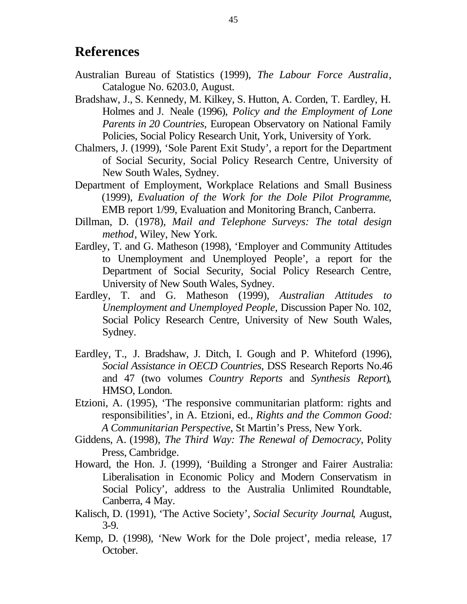## **References**

- Australian Bureau of Statistics (1999), *The Labour Force Australia*, Catalogue No. 6203.0, August.
- Bradshaw, J., S. Kennedy, M. Kilkey, S. Hutton, A. Corden, T. Eardley, H. Holmes and J. Neale (1996), *Policy and the Employment of Lone Parents in 20 Countries*, European Observatory on National Family Policies, Social Policy Research Unit, York, University of York.
- Chalmers, J. (1999), 'Sole Parent Exit Study', a report for the Department of Social Security, Social Policy Research Centre, University of New South Wales, Sydney.
- Department of Employment, Workplace Relations and Small Business (1999), *Evaluation of the Work for the Dole Pilot Programme*, EMB report 1/99, Evaluation and Monitoring Branch, Canberra.
- Dillman, D. (1978), *Mail and Telephone Surveys: The total design method*, Wiley, New York.
- Eardley, T. and G. Matheson (1998), 'Employer and Community Attitudes to Unemployment and Unemployed People', a report for the Department of Social Security, Social Policy Research Centre, University of New South Wales, Sydney.
- Eardley, T. and G. Matheson (1999), *Australian Attitudes to Unemployment and Unemployed People*, Discussion Paper No. 102, Social Policy Research Centre, University of New South Wales, Sydney.
- Eardley, T., J. Bradshaw, J. Ditch, I. Gough and P. Whiteford (1996), *Social Assistance in OECD Countries*, DSS Research Reports No.46 and 47 (two volumes *Country Reports* and *Synthesis Report*), HMSO, London.
- Etzioni, A. (1995), 'The responsive communitarian platform: rights and responsibilities', in A. Etzioni, ed., *Rights and the Common Good: A Communitarian Perspective*, St Martin's Press, New York.
- Giddens, A. (1998), *The Third Way: The Renewal of Democracy*, Polity Press, Cambridge.
- Howard, the Hon. J. (1999), 'Building a Stronger and Fairer Australia: Liberalisation in Economic Policy and Modern Conservatism in Social Policy', address to the Australia Unlimited Roundtable, Canberra, 4 May.
- Kalisch, D. (1991), 'The Active Society', *Social Security Journal*, August, 3-9.
- Kemp, D. (1998), 'New Work for the Dole project', media release, 17 October.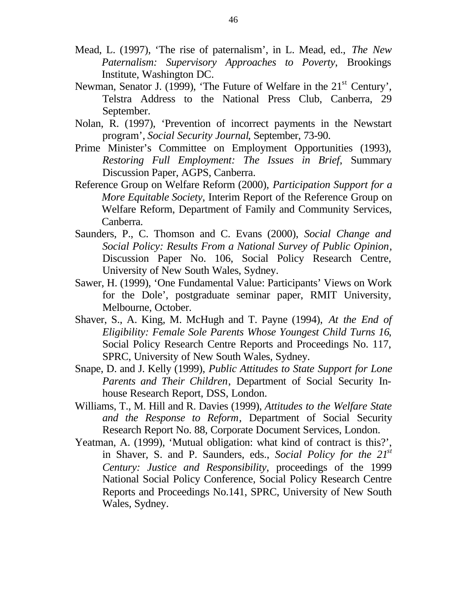- Mead, L. (1997), 'The rise of paternalism', in L. Mead, ed., *The New Paternalism: Supervisory Approaches to Poverty*, Brookings Institute, Washington DC.
- Newman, Senator J. (1999), 'The Future of Welfare in the 21<sup>st</sup> Century', Telstra Address to the National Press Club, Canberra, 29 September.
- Nolan, R. (1997), 'Prevention of incorrect payments in the Newstart program', *Social Security Journal*, September, 73-90.
- Prime Minister's Committee on Employment Opportunities (1993), *Restoring Full Employment: The Issues in Brief*, Summary Discussion Paper, AGPS, Canberra.
- Reference Group on Welfare Reform (2000), *Participation Support for a More Equitable Society*, Interim Report of the Reference Group on Welfare Reform, Department of Family and Community Services, Canberra.
- Saunders, P., C. Thomson and C. Evans (2000), *Social Change and Social Policy: Results From a National Survey of Public Opinion*, Discussion Paper No. 106, Social Policy Research Centre, University of New South Wales, Sydney.
- Sawer, H. (1999), 'One Fundamental Value: Participants' Views on Work for the Dole', postgraduate seminar paper, RMIT University, Melbourne, October.
- Shaver, S., A. King, M. McHugh and T. Payne (1994), *At the End of Eligibility: Female Sole Parents Whose Youngest Child Turns 16*, Social Policy Research Centre Reports and Proceedings No. 117, SPRC, University of New South Wales, Sydney.
- Snape, D. and J. Kelly (1999), *Public Attitudes to State Support for Lone Parents and Their Children*, Department of Social Security Inhouse Research Report, DSS, London.
- Williams, T., M. Hill and R. Davies (1999), *Attitudes to the Welfare State and the Response to Reform*, Department of Social Security Research Report No. 88, Corporate Document Services, London.
- Yeatman, A. (1999), 'Mutual obligation: what kind of contract is this?', in Shaver, S. and P. Saunders, eds., *Social Policy for the 21st Century: Justice and Responsibility*, proceedings of the 1999 National Social Policy Conference, Social Policy Research Centre Reports and Proceedings No.141, SPRC, University of New South Wales, Sydney.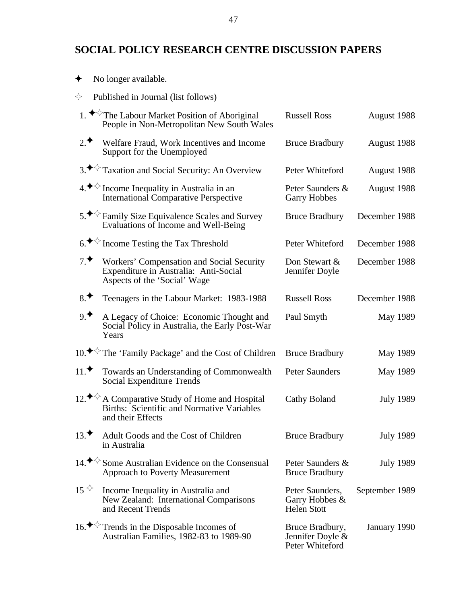### **SOCIAL POLICY RESEARCH CENTRE DISCUSSION PAPERS**

|                             | <u>I domoncu in Journal (not follows)</u>                                                                                        |                                                         |                  |
|-----------------------------|----------------------------------------------------------------------------------------------------------------------------------|---------------------------------------------------------|------------------|
|                             | 1. <sup>◆◇</sup> The Labour Market Position of Aboriginal<br>People in Non-Metropolitan New South Wales                          | <b>Russell Ross</b>                                     | August 1988      |
| 2.4                         | Welfare Fraud, Work Incentives and Income<br>Support for the Unemployed                                                          | <b>Bruce Bradbury</b>                                   | August 1988      |
|                             | 3. <sup>◆ ◆</sup> Taxation and Social Security: An Overview                                                                      | Peter Whiteford                                         | August 1988      |
|                             | $4.$ $\blacktriangleright$ Income Inequality in Australia in an<br><b>International Comparative Perspective</b>                  | Peter Saunders &<br><b>Garry Hobbes</b>                 | August 1988      |
|                             | 5. $\blacklozenge$ Family Size Equivalence Scales and Survey<br>Evaluations of Income and Well-Being                             | <b>Bruce Bradbury</b>                                   | December 1988    |
|                             | $6.$ $\blacktriangleright$ Income Testing the Tax Threshold                                                                      | Peter Whiteford                                         | December 1988    |
| 7.                          | <b>Workers' Compensation and Social Security</b><br>Expenditure in Australia: Anti-Social<br>Aspects of the 'Social' Wage        | Don Stewart &<br>Jennifer Doyle                         | December 1988    |
| 8.                          | Teenagers in the Labour Market: 1983-1988                                                                                        | <b>Russell Ross</b>                                     | December 1988    |
| 9.                          | A Legacy of Choice: Economic Thought and<br>Social Policy in Australia, the Early Post-War<br>Years                              | Paul Smyth                                              | May 1989         |
|                             | 10. <sup>◆◇</sup> The 'Family Package' and the Cost of Children                                                                  | <b>Bruce Bradbury</b>                                   | May 1989         |
| 11.                         | Towards an Understanding of Commonwealth<br><b>Social Expenditure Trends</b>                                                     | <b>Peter Saunders</b>                                   | May 1989         |
|                             | 12. <sup>◆◇</sup> A Comparative Study of Home and Hospital<br>Births: Scientific and Normative Variables<br>and their Effects    | <b>Cathy Boland</b>                                     | <b>July 1989</b> |
| 13.                         | Adult Goods and the Cost of Children<br>in Australia                                                                             | <b>Bruce Bradbury</b>                                   | <b>July 1989</b> |
|                             | 14. <sup><math>\leftrightarrow</math></sup> Some Australian Evidence on the Consensual<br><b>Approach to Poverty Measurement</b> | Peter Saunders &<br><b>Bruce Bradbury</b>               | <b>July 1989</b> |
| $15^{\text{ }}\diamondsuit$ | Income Inequality in Australia and<br>New Zealand: International Comparisons<br>and Recent Trends                                | Peter Saunders,<br>Garry Hobbes &<br><b>Helen</b> Stott | September 1989   |
|                             | 16. $\blacklozenge$ Trends in the Disposable Incomes of<br>Australian Families, 1982-83 to 1989-90                               | Bruce Bradbury,<br>Jennifer Doyle &<br>Peter Whiteford  | January 1990     |

- $\blacklozenge$  No longer available.
- $\Leftrightarrow$  Published in Journal (list follows)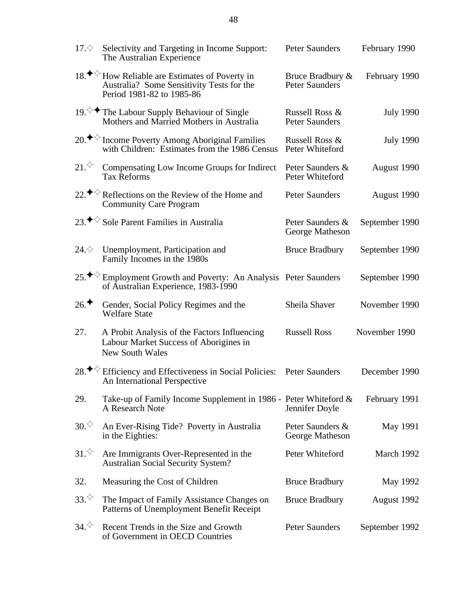| 17. $\diamondsuit$             | Selectivity and Targeting in Income Support:<br>The Australian Experience                                                            | <b>Peter Saunders</b>                      | February 1990    |
|--------------------------------|--------------------------------------------------------------------------------------------------------------------------------------|--------------------------------------------|------------------|
|                                | 18. <sup>◆◇</sup> How Reliable are Estimates of Poverty in<br>Australia? Some Sensitivity Tests for the<br>Period 1981-82 to 1985-86 | Bruce Bradbury &<br><b>Peter Saunders</b>  | February 1990    |
|                                | 19. $\Diamond$ The Labour Supply Behaviour of Single<br>Mothers and Married Mothers in Australia                                     | Russell Ross &<br><b>Peter Saunders</b>    | <b>July 1990</b> |
|                                | 20. <sup>◆◇</sup> Income Poverty Among Aboriginal Families<br>with Children: Estimates from the 1986 Census                          | Russell Ross &<br>Peter Whiteford          | <b>July 1990</b> |
| $21.^\diamondsuit$             | Compensating Low Income Groups for Indirect<br><b>Tax Reforms</b>                                                                    | Peter Saunders &<br><b>Peter Whiteford</b> | August 1990      |
|                                | 22. $\blacklozenge$ Reflections on the Review of the Home and<br><b>Community Care Program</b>                                       | <b>Peter Saunders</b>                      | August 1990      |
|                                | 23. <sup>◆◇</sup> Sole Parent Families in Australia                                                                                  | Peter Saunders &<br><b>George Matheson</b> | September 1990   |
| 24. $\diamondsuit$             | Unemployment, Participation and<br>Family Incomes in the 1980s                                                                       | <b>Bruce Bradbury</b>                      | September 1990   |
| 25. $\blacklozenge \heartsuit$ | <b>Employment Growth and Poverty: An Analysis Peter Saunders</b><br>of Australian Experience, 1983-1990                              |                                            | September 1990   |
| 26.                            | Gender, Social Policy Regimes and the<br><b>Welfare State</b>                                                                        | Sheila Shaver                              | November 1990    |
| 27.                            | A Probit Analysis of the Factors Influencing<br>Labour Market Success of Aborigines in<br><b>New South Wales</b>                     | <b>Russell Ross</b>                        | November 1990    |
|                                | 28. $\blacklozenge$ Efficiency and Effectiveness in Social Policies:<br><b>An International Perspective</b>                          | <b>Peter Saunders</b>                      | December 1990    |
| 29.                            | Take-up of Family Income Supplement in 1986 - Peter Whiteford &<br>A Research Note                                                   | Jennifer Doyle                             | February 1991    |
| 30.                            | An Ever-Rising Tide? Poverty in Australia<br>in the Eighties:                                                                        | Peter Saunders &<br><b>George Matheson</b> | <b>May 1991</b>  |
| $31.^\diamondsuit$             | Are Immigrants Over-Represented in the<br><b>Australian Social Security System?</b>                                                  | Peter Whiteford                            | March 1992       |
| 32.                            | Measuring the Cost of Children                                                                                                       | <b>Bruce Bradbury</b>                      | <b>May 1992</b>  |
| $33.^{\diamondsuit}$           | The Impact of Family Assistance Changes on<br><b>Patterns of Unemployment Benefit Receipt</b>                                        | <b>Bruce Bradbury</b>                      | August 1992      |
| $34.^\diamondsuit$             | Recent Trends in the Size and Growth<br>of Government in OECD Countries                                                              | <b>Peter Saunders</b>                      | September 1992   |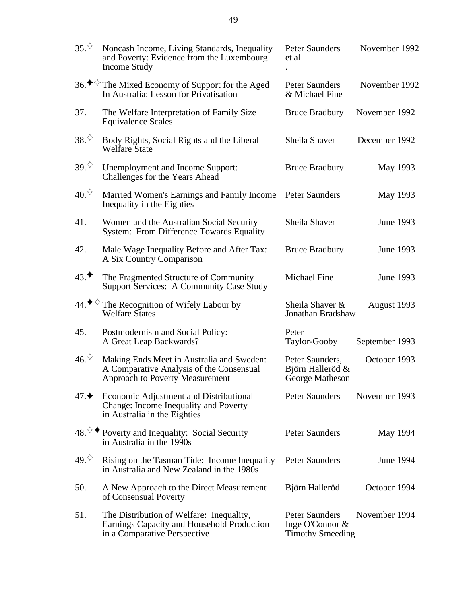| $35.^\diamondsuit$  | Noncash Income, Living Standards, Inequality<br>and Poverty: Evidence from the Luxembourg<br>Income Study                       | <b>Peter Saunders</b><br>et al                                      | November 1992    |
|---------------------|---------------------------------------------------------------------------------------------------------------------------------|---------------------------------------------------------------------|------------------|
|                     | 36. <sup>◆◇</sup> The Mixed Economy of Support for the Aged<br>In Australia: Lesson for Privatisation                           | <b>Peter Saunders</b><br>& Michael Fine                             | November 1992    |
| 37.                 | The Welfare Interpretation of Family Size<br><b>Equivalence Scales</b>                                                          | <b>Bruce Bradbury</b>                                               | November 1992    |
| $38.^\diamondsuit$  | Body Rights, Social Rights and the Liberal<br><b>Welfare State</b>                                                              | <b>Sheila Shaver</b>                                                | December 1992    |
| $39.^\diamondsuit$  | <b>Unemployment and Income Support:</b><br><b>Challenges for the Years Ahead</b>                                                | <b>Bruce Bradbury</b>                                               | May 1993         |
| 40.                 | Married Women's Earnings and Family Income<br>Inequality in the Eighties                                                        | <b>Peter Saunders</b>                                               | May 1993         |
| 41.                 | Women and the Australian Social Security<br><b>System: From Difference Towards Equality</b>                                     | <b>Sheila Shaver</b>                                                | <b>June 1993</b> |
| 42.                 | Male Wage Inequality Before and After Tax:<br>A Six Country Comparison                                                          | <b>Bruce Bradbury</b>                                               | <b>June 1993</b> |
| 43.                 | The Fragmented Structure of Community<br><b>Support Services: A Community Case Study</b>                                        | <b>Michael Fine</b>                                                 | <b>June 1993</b> |
|                     | 44. <sup>◆◇</sup> The Recognition of Wifely Labour by<br><b>Welfare States</b>                                                  | Sheila Shaver &<br>Jonathan Bradshaw                                | August 1993      |
| 45.                 | Postmodernism and Social Policy:<br>A Great Leap Backwards?                                                                     | Peter<br>Taylor-Gooby                                               | September 1993   |
| $46.^\diamondsuit$  | Making Ends Meet in Australia and Sweden:<br>A Comparative Analysis of the Consensual<br><b>Approach to Poverty Measurement</b> | Peter Saunders,<br>Björn Halleröd &<br><b>George Matheson</b>       | October 1993     |
| $47. \triangleleft$ | <b>Economic Adjustment and Distributional</b><br><b>Change: Income Inequality and Poverty</b><br>in Australia in the Eighties   | <b>Peter Saunders</b>                                               | November 1993    |
|                     | 48. $\rightarrow$ + Poverty and Inequality: Social Security<br>in Australia in the 1990s                                        | <b>Peter Saunders</b>                                               | May 1994         |
| 49. $\diamondsuit$  | Rising on the Tasman Tide: Income Inequality<br>in Australia and New Zealand in the 1980s                                       | <b>Peter Saunders</b>                                               | <b>June 1994</b> |
| 50.                 | A New Approach to the Direct Measurement<br>of Consensual Poverty                                                               | Björn Halleröd                                                      | October 1994     |
| 51.                 | The Distribution of Welfare: Inequality,<br><b>Earnings Capacity and Household Production</b><br>in a Comparative Perspective   | <b>Peter Saunders</b><br>Inge O'Connor &<br><b>Timothy Smeeding</b> | November 1994    |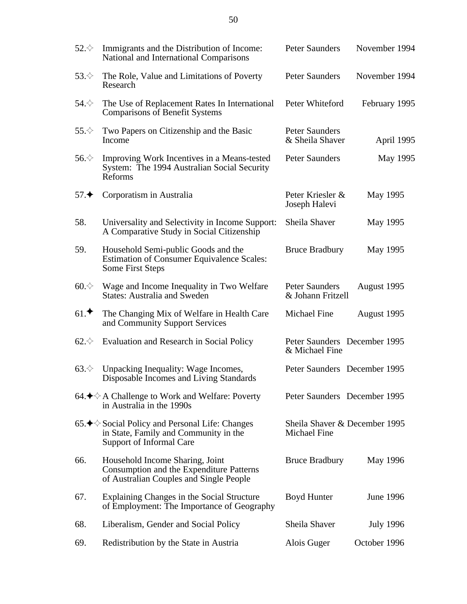| $52.\diamondsuit$ | Immigrants and the Distribution of Income:<br>National and International Comparisons                                                     | <b>Peter Saunders</b>                                | November 1994    |
|-------------------|------------------------------------------------------------------------------------------------------------------------------------------|------------------------------------------------------|------------------|
| $53.\diamondsuit$ | The Role, Value and Limitations of Poverty<br>Research                                                                                   | <b>Peter Saunders</b>                                | November 1994    |
| $54.\diamondsuit$ | The Use of Replacement Rates In International<br><b>Comparisons of Benefit Systems</b>                                                   | Peter Whiteford                                      | February 1995    |
| $55.\diamondsuit$ | Two Papers on Citizenship and the Basic<br>Income                                                                                        | <b>Peter Saunders</b><br>& Sheila Shaver             | April 1995       |
| $56 \diamond$     | Improving Work Incentives in a Means-tested<br>System: The 1994 Australian Social Security<br>Reforms                                    | <b>Peter Saunders</b>                                | <b>May 1995</b>  |
| 57.               | Corporatism in Australia                                                                                                                 | Peter Kriesler &<br>Joseph Halevi                    | May 1995         |
| 58.               | Universality and Selectivity in Income Support:<br>A Comparative Study in Social Citizenship                                             | <b>Sheila Shaver</b>                                 | May 1995         |
| 59.               | Household Semi-public Goods and the<br><b>Estimation of Consumer Equivalence Scales:</b><br><b>Some First Steps</b>                      | <b>Bruce Bradbury</b>                                | May 1995         |
| $60 \diamond$     | Wage and Income Inequality in Two Welfare<br><b>States: Australia and Sweden</b>                                                         | <b>Peter Saunders</b><br>& Johann Fritzell           | August 1995      |
| 61.               | The Changing Mix of Welfare in Health Care<br>and Community Support Services                                                             | <b>Michael Fine</b>                                  | August 1995      |
| $62.\diamondsuit$ | <b>Evaluation and Research in Social Policy</b>                                                                                          | Peter Saunders December 1995<br>& Michael Fine       |                  |
| $63.\diamondsuit$ | Unpacking Inequality: Wage Incomes,<br>Disposable Incomes and Living Standards                                                           | Peter Saunders December 1995                         |                  |
|                   | 64. $\bigstar$ $\Diamond$ A Challenge to Work and Welfare: Poverty<br>in Australia in the 1990s                                          | Peter Saunders December 1995                         |                  |
|                   | 65. $\blacklozenge$ Social Policy and Personal Life: Changes<br>in State, Family and Community in the<br><b>Support of Informal Care</b> | Sheila Shaver & December 1995<br><b>Michael Fine</b> |                  |
| 66.               | Household Income Sharing, Joint<br><b>Consumption and the Expenditure Patterns</b><br>of Australian Couples and Single People            | <b>Bruce Bradbury</b>                                | May 1996         |
| 67.               | <b>Explaining Changes in the Social Structure</b><br>of Employment: The Importance of Geography                                          | <b>Boyd Hunter</b>                                   | <b>June 1996</b> |
| 68.               | Liberalism, Gender and Social Policy                                                                                                     | <b>Sheila Shaver</b>                                 | <b>July 1996</b> |
| 69.               | Redistribution by the State in Austria                                                                                                   | Alois Guger                                          | October 1996     |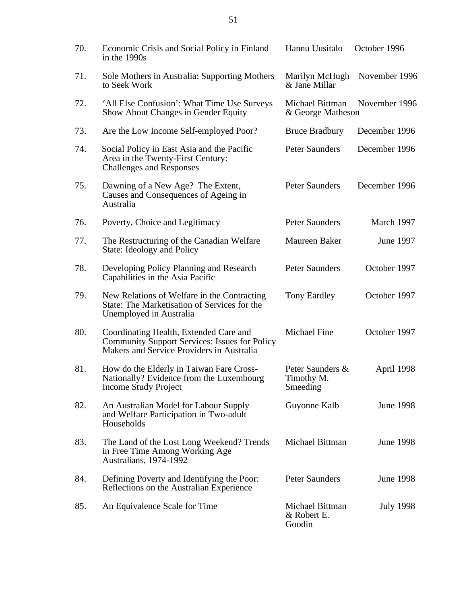| 70. | Economic Crisis and Social Policy in Finland<br>in the 1990s                                                                                | Hannu Uusitalo                             | October 1996     |
|-----|---------------------------------------------------------------------------------------------------------------------------------------------|--------------------------------------------|------------------|
| 71. | Sole Mothers in Australia: Supporting Mothers<br>to Seek Work                                                                               | Marilyn McHugh<br>& Jane Millar            | November 1996    |
| 72. | 'All Else Confusion': What Time Use Surveys<br><b>Show About Changes in Gender Equity</b>                                                   | Michael Bittman<br>& George Matheson       | November 1996    |
| 73. | Are the Low Income Self-employed Poor?                                                                                                      | <b>Bruce Bradbury</b>                      | December 1996    |
| 74. | Social Policy in East Asia and the Pacific<br>Area in the Twenty-First Century:<br><b>Challenges and Responses</b>                          | <b>Peter Saunders</b>                      | December 1996    |
| 75. | Dawning of a New Age? The Extent,<br>Causes and Consequences of Ageing in<br>Australia                                                      | <b>Peter Saunders</b>                      | December 1996    |
| 76. | Poverty, Choice and Legitimacy                                                                                                              | <b>Peter Saunders</b>                      | March 1997       |
| 77. | The Restructuring of the Canadian Welfare<br>State: Ideology and Policy                                                                     | <b>Maureen Baker</b>                       | <b>June 1997</b> |
| 78. | Developing Policy Planning and Research<br>Capabilities in the Asia Pacific                                                                 | <b>Peter Saunders</b>                      | October 1997     |
| 79. | New Relations of Welfare in the Contracting<br>State: The Marketisation of Services for the<br>Unemployed in Australia                      | <b>Tony Eardley</b>                        | October 1997     |
| 80. | Coordinating Health, Extended Care and<br><b>Community Support Services: Issues for Policy</b><br>Makers and Service Providers in Australia | <b>Michael Fine</b>                        | October 1997     |
| 81. | How do the Elderly in Taiwan Fare Cross-<br>Nationally? Evidence from the Luxembourg<br><b>Income Study Project</b>                         | Peter Saunders &<br>Timothy M.<br>Smeeding | April 1998       |
| 82. | An Australian Model for Labour Supply<br>and Welfare Participation in Two-adult<br>Households                                               | Guyonne Kalb                               | <b>June 1998</b> |
| 83. | The Land of the Lost Long Weekend? Trends<br>in Free Time Among Working Age<br>Australians, 1974-1992                                       | Michael Bittman                            | <b>June 1998</b> |
| 84. | Defining Poverty and Identifying the Poor:<br>Reflections on the Australian Experience                                                      | <b>Peter Saunders</b>                      | <b>June 1998</b> |
| 85. | An Equivalence Scale for Time                                                                                                               | Michael Bittman<br>& Robert E.<br>Goodin   | <b>July 1998</b> |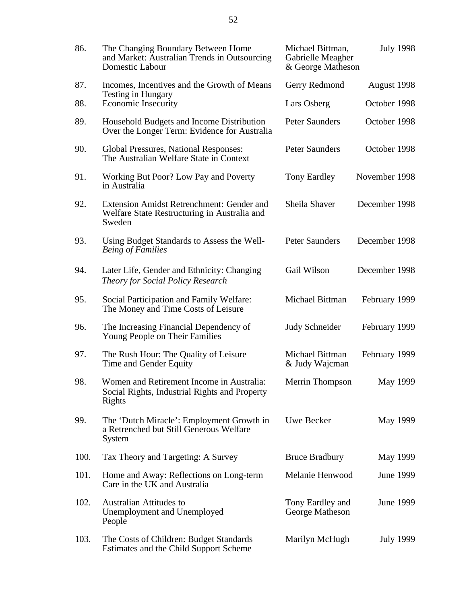| 86.  | The Changing Boundary Between Home<br>and Market: Australian Trends in Outsourcing<br><b>Domestic Labour</b> | Michael Bittman,<br>Gabrielle Meagher<br>& George Matheson | <b>July 1998</b> |
|------|--------------------------------------------------------------------------------------------------------------|------------------------------------------------------------|------------------|
| 87.  | Incomes, Incentives and the Growth of Means                                                                  | <b>Gerry Redmond</b>                                       | August 1998      |
| 88.  | <b>Testing in Hungary</b><br><b>Economic Insecurity</b>                                                      | Lars Osberg                                                | October 1998     |
| 89.  | Household Budgets and Income Distribution<br>Over the Longer Term: Evidence for Australia                    | <b>Peter Saunders</b>                                      | October 1998     |
| 90.  | <b>Global Pressures, National Responses:</b><br>The Australian Welfare State in Context                      | <b>Peter Saunders</b>                                      | October 1998     |
| 91.  | Working But Poor? Low Pay and Poverty<br>in Australia                                                        | <b>Tony Eardley</b>                                        | November 1998    |
| 92.  | <b>Extension Amidst Retrenchment: Gender and</b><br>Welfare State Restructuring in Australia and<br>Sweden   | Sheila Shaver                                              | December 1998    |
| 93.  | Using Budget Standards to Assess the Well-<br><b>Being of Families</b>                                       | <b>Peter Saunders</b>                                      | December 1998    |
| 94.  | Later Life, Gender and Ethnicity: Changing<br><b>Theory for Social Policy Research</b>                       | <b>Gail Wilson</b>                                         | December 1998    |
| 95.  | Social Participation and Family Welfare:<br>The Money and Time Costs of Leisure                              | Michael Bittman                                            | February 1999    |
| 96.  | The Increasing Financial Dependency of<br>Young People on Their Families                                     | <b>Judy Schneider</b>                                      | February 1999    |
| 97.  | The Rush Hour: The Quality of Leisure<br>Time and Gender Equity                                              | Michael Bittman<br>& Judy Wajcman                          | February 1999    |
| 98.  | Women and Retirement Income in Australia:<br>Social Rights, Industrial Rights and Property<br>Rights         | <b>Merrin Thompson</b>                                     | <b>May 1999</b>  |
| 99.  | The 'Dutch Miracle': Employment Growth in<br>a Retrenched but Still Generous Welfare<br><b>System</b>        | <b>Uwe Becker</b>                                          | May 1999         |
| 100. | Tax Theory and Targeting: A Survey                                                                           | <b>Bruce Bradbury</b>                                      | May 1999         |
| 101. | Home and Away: Reflections on Long-term<br>Care in the UK and Australia                                      | Melanie Henwood                                            | <b>June 1999</b> |
| 102. | <b>Australian Attitudes to</b><br><b>Unemployment and Unemployed</b><br>People                               | Tony Eardley and<br>George Matheson                        | <b>June 1999</b> |
| 103. | The Costs of Children: Budget Standards<br><b>Estimates and the Child Support Scheme</b>                     | Marilyn McHugh                                             | <b>July 1999</b> |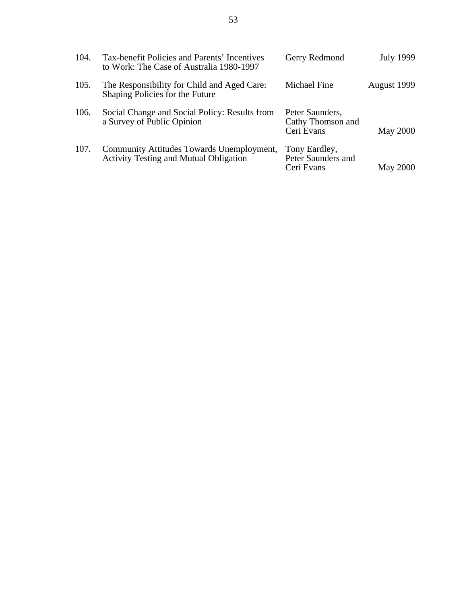| 104. | Tax-benefit Policies and Parents' Incentives<br>to Work: The Case of Australia 1980-1997          | <b>Gerry Redmond</b>                               | <b>July 1999</b> |
|------|---------------------------------------------------------------------------------------------------|----------------------------------------------------|------------------|
| 105. | The Responsibility for Child and Aged Care:<br>Shaping Policies for the Future                    | Michael Fine                                       | August 1999      |
| 106. | Social Change and Social Policy: Results from<br>a Survey of Public Opinion                       | Peter Saunders,<br>Cathy Thomson and<br>Ceri Evans | <b>May 2000</b>  |
| 107. | <b>Community Attitudes Towards Unemployment,</b><br><b>Activity Testing and Mutual Obligation</b> | Tony Eardley,<br>Peter Saunders and<br>Ceri Evans  | <b>May 2000</b>  |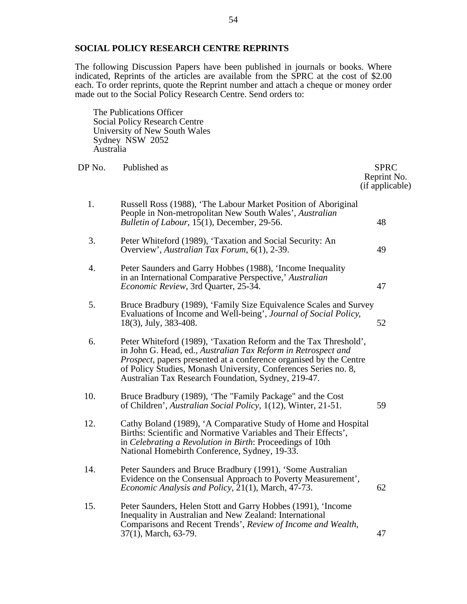#### **SOCIAL POLICY RESEARCH CENTRE REPRINTS**

The following Discussion Papers have been published in journals or books. Where indicated, Reprints of the articles are available from the SPRC at the cost of \$2.00 each. To order reprints, quote the Reprint number and attach a cheque or money order made out to the Social Policy Research Centre. Send orders to:

The Publications Officer Social Policy Research Centre University of New South Wales Sydney NSW 2052 Australia

| DP No. | Published as                                                                                                                                                                                                                                                                                                                              | <b>SPRC</b><br>Reprint No.<br>(if applicable) |
|--------|-------------------------------------------------------------------------------------------------------------------------------------------------------------------------------------------------------------------------------------------------------------------------------------------------------------------------------------------|-----------------------------------------------|
| 1.     | Russell Ross (1988), 'The Labour Market Position of Aboriginal<br>People in Non-metropolitan New South Wales', Australian<br>Bulletin of Labour, 15(1), December, 29-56.                                                                                                                                                                  | 48                                            |
| 3.     | Peter Whiteford (1989), 'Taxation and Social Security: An<br>Overview', Australian Tax Forum, 6(1), 2-39.                                                                                                                                                                                                                                 | 49                                            |
| 4.     | Peter Saunders and Garry Hobbes (1988), 'Income Inequality<br>in an International Comparative Perspective,' Australian<br>Economic Review, 3rd Quarter, 25-34.                                                                                                                                                                            | 47                                            |
| 5.     | Bruce Bradbury (1989), 'Family Size Equivalence Scales and Survey<br>Evaluations of Income and Well-being', Journal of Social Policy,<br>$18(3)$ , July, 383-408.                                                                                                                                                                         | 52                                            |
| 6.     | Peter Whiteford (1989), 'Taxation Reform and the Tax Threshold',<br>in John G. Head, ed., Australian Tax Reform in Retrospect and<br><i>Prospect</i> , papers presented at a conference organised by the Centre<br>of Policy Studies, Monash University, Conferences Series no. 8,<br>Australian Tax Research Foundation, Sydney, 219-47. |                                               |
| 10.    | Bruce Bradbury (1989), 'The "Family Package" and the Cost<br>of Children', Australian Social Policy, 1(12), Winter, 21-51.                                                                                                                                                                                                                | 59                                            |
| 12.    | Cathy Boland (1989), 'A Comparative Study of Home and Hospital<br>Births: Scientific and Normative Variables and Their Effects',<br>in Celebrating a Revolution in Birth: Proceedings of 10th<br>National Homebirth Conference, Sydney, 19-33.                                                                                            |                                               |
| 14.    | Peter Saunders and Bruce Bradbury (1991), 'Some Australian<br>Evidence on the Consensual Approach to Poverty Measurement',<br>Economic Analysis and Policy, 21(1), March, 47-73.                                                                                                                                                          | 62                                            |
| 15.    | Peter Saunders, Helen Stott and Garry Hobbes (1991), 'Income<br>Inequality in Australian and New Zealand: International<br>Comparisons and Recent Trends', Review of Income and Wealth,<br>37(1), March, 63-79.                                                                                                                           | 47                                            |
|        |                                                                                                                                                                                                                                                                                                                                           |                                               |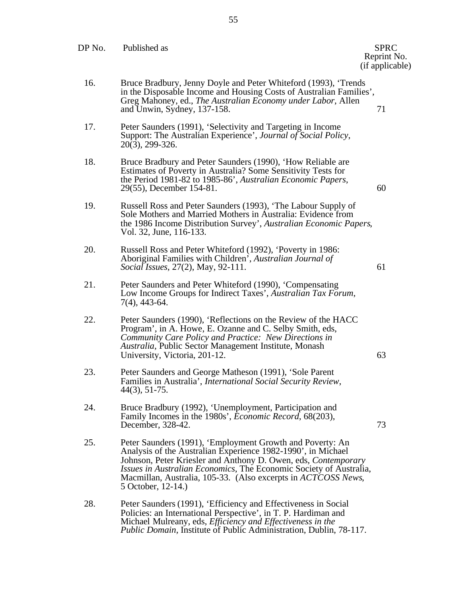| DP No. | Published as                                                                                                                                                                                                                                                                                                                                                     | <b>SPRC</b><br>Reprint No.<br>(if applicable) |
|--------|------------------------------------------------------------------------------------------------------------------------------------------------------------------------------------------------------------------------------------------------------------------------------------------------------------------------------------------------------------------|-----------------------------------------------|
| 16.    | Bruce Bradbury, Jenny Doyle and Peter Whiteford (1993), 'Trends<br>in the Disposable Income and Housing Costs of Australian Families',<br>Greg Mahoney, ed., The Australian Economy under Labor, Allen<br>and Unwin, Sydney, 137-158.                                                                                                                            | 71                                            |
| 17.    | Peter Saunders (1991), 'Selectivity and Targeting in Income<br>Support: The Australian Experience', Journal of Social Policy,<br>$20(3)$ , $299-326$ .                                                                                                                                                                                                           |                                               |
| 18.    | Bruce Bradbury and Peter Saunders (1990), 'How Reliable are<br>Estimates of Poverty in Australia? Some Sensitivity Tests for<br>the Period 1981-82 to 1985-86', Australian Economic Papers,<br>29(55), December 154-81.                                                                                                                                          | 60                                            |
| 19.    | Russell Ross and Peter Saunders (1993), 'The Labour Supply of<br>Sole Mothers and Married Mothers in Australia: Evidence from<br>the 1986 Income Distribution Survey', Australian Economic Papers,<br>Vol. 32, June, 116-133.                                                                                                                                    |                                               |
| 20.    | Russell Ross and Peter Whiteford (1992), 'Poverty in 1986:<br>Aboriginal Families with Children', Australian Journal of<br><i>Social Issues, 27(2), May, 92-111.</i>                                                                                                                                                                                             | 61                                            |
| 21.    | Peter Saunders and Peter Whiteford (1990), 'Compensating<br>Low Income Groups for Indirect Taxes', Australian Tax Forum,<br>$7(4)$ , 443-64.                                                                                                                                                                                                                     |                                               |
| 22.    | Peter Saunders (1990), 'Reflections on the Review of the HACC<br>Program', in A. Howe, E. Ozanne and C. Selby Smith, eds,<br>Community Care Policy and Practice: New Directions in<br>Australia, Public Sector Management Institute, Monash<br>University, Victoria, 201-12.                                                                                     | 63                                            |
| 23.    | Peter Saunders and George Matheson (1991), 'Sole Parent<br>Families in Australia', International Social Security Review,<br>$44(3), 51-75.$                                                                                                                                                                                                                      |                                               |
| 24.    | Bruce Bradbury (1992), 'Unemployment, Participation and<br>Family Incomes in the 1980s', Economic Record, 68(203),<br>December, 328-42.                                                                                                                                                                                                                          | 73                                            |
| 25.    | Peter Saunders (1991), 'Employment Growth and Poverty: An<br>Analysis of the Australian Experience 1982-1990', in Michael<br>Johnson, Peter Kriesler and Anthony D. Owen, eds, Contemporary<br>Issues in Australian Economics, The Economic Society of Australia,<br>Macmillan, Australia, 105-33. (Also excerpts in <i>ACTCOSS News</i> ,<br>5 October, 12-14.) |                                               |
| 28.    | Peter Saunders (1991), 'Efficiency and Effectiveness in Social<br>Policies: an International Perspective', in T. P. Hardiman and<br>Michael Mulreany, eds, Efficiency and Effectiveness in the<br><i>Public Domain, Institute of Public Administration, Dublin, 78-117.</i>                                                                                      |                                               |
|        |                                                                                                                                                                                                                                                                                                                                                                  |                                               |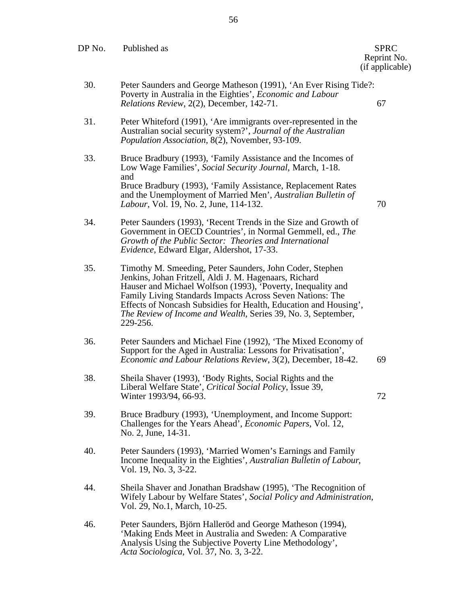| DP No. | Published as                                                                                                                                                                                                                                                                                                                                                                                   | <b>SPRC</b><br>Reprint No.<br>(if applicable) |
|--------|------------------------------------------------------------------------------------------------------------------------------------------------------------------------------------------------------------------------------------------------------------------------------------------------------------------------------------------------------------------------------------------------|-----------------------------------------------|
| 30.    | Peter Saunders and George Matheson (1991), 'An Ever Rising Tide?:<br>Poverty in Australia in the Eighties', Economic and Labour<br>Relations Review, 2(2), December, 142-71.                                                                                                                                                                                                                   | 67                                            |
| 31.    | Peter Whiteford (1991), 'Are immigrants over-represented in the<br>Australian social security system?', Journal of the Australian<br><i>Population Association, 8(2), November, 93-109.</i>                                                                                                                                                                                                    |                                               |
| 33.    | Bruce Bradbury (1993), 'Family Assistance and the Incomes of<br>Low Wage Families', Social Security Journal, March, 1-18.<br>and<br>Bruce Bradbury (1993), 'Family Assistance, Replacement Rates<br>and the Unemployment of Married Men', Australian Bulletin of<br>Labour, Vol. 19, No. 2, June, 114-132.                                                                                     | 70                                            |
| 34.    | Peter Saunders (1993), 'Recent Trends in the Size and Growth of<br>Government in OECD Countries', in Normal Gemmell, ed., The<br>Growth of the Public Sector: Theories and International<br>Evidence, Edward Elgar, Aldershot, 17-33.                                                                                                                                                          |                                               |
| 35.    | Timothy M. Smeeding, Peter Saunders, John Coder, Stephen<br>Jenkins, Johan Fritzell, Aldi J. M. Hagenaars, Richard<br>Hauser and Michael Wolfson (1993), Poverty, Inequality and<br>Family Living Standards Impacts Across Seven Nations: The<br>Effects of Noncash Subsidies for Health, Education and Housing',<br>The Review of Income and Wealth, Series 39, No. 3, September,<br>229-256. |                                               |
| 36.    | Peter Saunders and Michael Fine (1992), 'The Mixed Economy of<br>Support for the Aged in Australia: Lessons for Privatisation',<br>Economic and Labour Relations Review, 3(2), December, 18-42.                                                                                                                                                                                                | 69                                            |
| 38.    | Sheila Shaver (1993), 'Body Rights, Social Rights and the<br>Liberal Welfare State', Critical Social Policy, Issue 39,<br>Winter 1993/94, 66-93.                                                                                                                                                                                                                                               | 72                                            |
| 39.    | Bruce Bradbury (1993), 'Unemployment, and Income Support:<br>Challenges for the Years Ahead', <i>Economic Papers</i> , Vol. 12,<br>No. 2, June, 14-31.                                                                                                                                                                                                                                         |                                               |
| 40.    | Peter Saunders (1993), 'Married Women's Earnings and Family<br>Income Inequality in the Eighties', Australian Bulletin of Labour,<br>Vol. 19, No. 3, 3-22.                                                                                                                                                                                                                                     |                                               |
| 44.    | Sheila Shaver and Jonathan Bradshaw (1995), 'The Recognition of<br>Wifely Labour by Welfare States', Social Policy and Administration,<br>Vol. 29, No.1, March, 10-25.                                                                                                                                                                                                                         |                                               |
| 46.    | Peter Saunders, Björn Halleröd and George Matheson (1994),<br>'Making Ends Meet in Australia and Sweden: A Comparative<br>Analysis Using the Subjective Poverty Line Methodology',<br>Acta Sociologica, Vol. 37, No. 3, 3-22.                                                                                                                                                                  |                                               |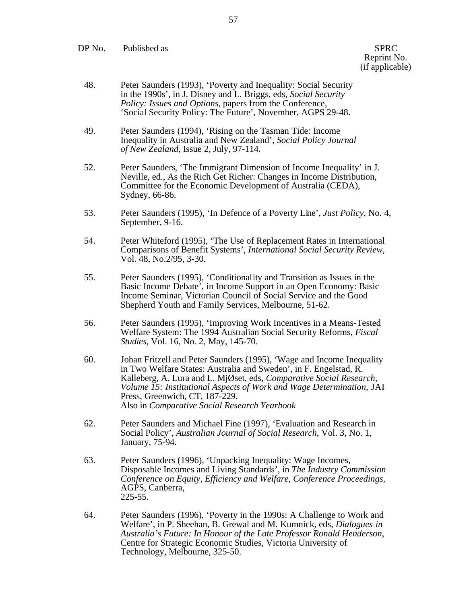DP No. Published as SPRC

Reprint No. (if applicable)

- 48. Peter Saunders (1993), 'Poverty and Inequality: Social Security in the 1990s', in J. Disney and L. Briggs, eds, *Social Security Policy: Issues and Options*, papers from the Conference, 'Social Security Policy: The Future', November, AGPS 29-48.
- 49. Peter Saunders (1994), 'Rising on the Tasman Tide: Income Inequality in Australia and New Zealand', *Social Policy Journal of New Zealand*, Issue 2, July, 97-114.
- 52. Peter Saunders, 'The Immigrant Dimension of Income Inequality' in J. Neville, ed., As the Rich Get Richer: Changes in Income Distribution, Committee for the Economic Development of Australia (CEDA), Sydney, 66-86.
- 53. Peter Saunders (1995), 'In Defence of a Poverty Line', *Just Policy*, No. 4, September, 9-16.
- 54. Peter Whiteford (1995), 'The Use of Replacement Rates in International Comparisons of Benefit Systems', *International Social Security Review*, Vol. 48, No.2/95, 3-30.
- 55. Peter Saunders (1995), 'Conditionality and Transition as Issues in the Basic Income Debate', in Income Support in an Open Economy: Basic Income Seminar, Victorian Council of Social Service and the Good Shepherd Youth and Family Services, Melbourne, 51-62.
- 56. Peter Saunders (1995), 'Improving Work Incentives in a Means-Tested Welfare System: The 1994 Australian Social Security Reforms, *Fiscal Studies*, Vol. 16, No. 2, May, 145-70.
- 60. Johan Fritzell and Peter Saunders (1995), 'Wage and Income Inequality in Two Welfare States: Australia and Sweden', in F. Engelstad, R. Kalleberg, A. Lura and L. MjØset, eds, *Comparative Social Research, Volume 15: Institutional Aspects of Work and Wage Determination,* JAI Press, Greenwich, CT, 187-229. Also in *Comparative Social Research Yearbook*
- 62. Peter Saunders and Michael Fine (1997), 'Evaluation and Research in Social Policy', *Australian Journal of Social Research*, Vol. 3, No. 1, January, 75-94.
- 63. Peter Saunders (1996), 'Unpacking Inequality: Wage Incomes, Disposable Incomes and Living Standards', in *The Industry Commission Conference on Equity, Efficiency and Welfare, Conference Proceedings*, AGPS, Canberra, 225-55.
- 64. Peter Saunders (1996), 'Poverty in the 1990s: A Challenge to Work and Welfare', in P. Sheehan, B. Grewal and M. Kumnick, eds, *Dialogues in Australia's Future: In Honour of the Late Professor Ronald Henderson*, Centre for Strategic Economic Studies, Victoria University of Technology, Melbourne, 325-50.